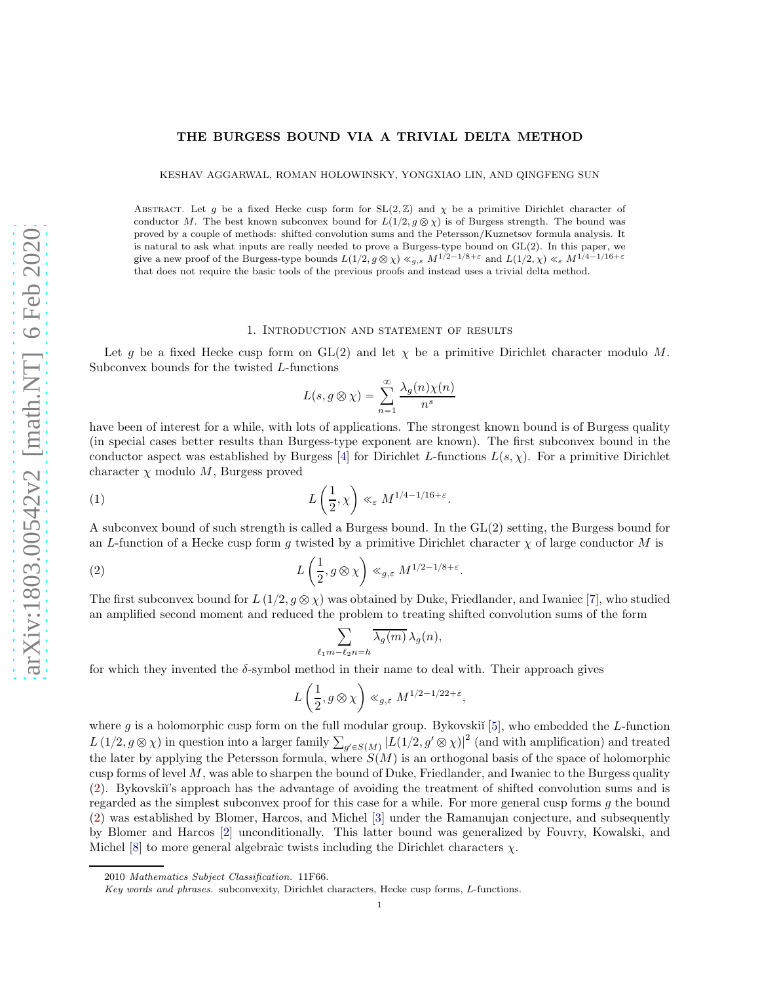# THE BURGESS BOUND VIA A TRIVIAL DELTA METHOD

KESHAV AGGARWAL, ROMAN HOLOWINSKY, YONGXIAO LIN, AND QINGFENG SUN

ABSTRACT. Let g be a fixed Hecke cusp form for  $SL(2, \mathbb{Z})$  and  $\chi$  be a primitive Dirichlet character of conductor M. The best known subconvex bound for  $L(1/2, g \otimes \chi)$  is of Burgess strength. The bound was proved by a couple of methods: shifted convolution sums and the Petersson/Kuznetsov formula analysis. It is natural to ask what inputs are really needed to prove a Burgess-type bound on GL(2). In this paper, we give a new proof of the Burgess-type bounds  $L(1/2, g \otimes \chi) \ll_{g,\varepsilon} M^{1/2-1/8+\varepsilon}$  and  $L(1/2, \chi) \ll_{\varepsilon} M^{1/4-1/16+\varepsilon}$ that does not require the basic tools of the previous proofs and instead uses a trivial delta method.

#### 1. Introduction and statement of results

Let g be a fixed Hecke cusp form on  $GL(2)$  and let  $\chi$  be a primitive Dirichlet character modulo M. Subconvex bounds for the twisted L-functions

$$
L(s, g \otimes \chi) = \sum_{n=1}^{\infty} \frac{\lambda_g(n)\chi(n)}{n^s}
$$

have been of interest for a while, with lots of applications. The strongest known bound is of Burgess quality (in special cases better results than Burgess-type exponent are known). The first subconvex bound in the conductor aspect was established by Burgess [\[4\]](#page-15-0) for Dirichlet L-functions  $L(s, \chi)$ . For a primitive Dirichlet character  $\chi$  modulo M, Burgess proved

<span id="page-0-1"></span>(1) 
$$
L\left(\frac{1}{2},\chi\right) \ll_{\varepsilon} M^{1/4-1/16+\varepsilon}.
$$

A subconvex bound of such strength is called a Burgess bound. In the  $GL(2)$  setting, the Burgess bound for an L-function of a Hecke cusp form g twisted by a primitive Dirichlet character  $\chi$  of large conductor M is

<span id="page-0-0"></span>(2) 
$$
L\left(\frac{1}{2}, g \otimes \chi\right) \ll_{g,\varepsilon} M^{1/2-1/8+\varepsilon}.
$$

The first subconvex bound for  $L(1/2, g \otimes \chi)$  was obtained by Duke, Friedlander, and Iwaniec [\[7\]](#page-15-1), who studied an amplified second moment and reduced the problem to treating shifted convolution sums of the form

$$
\sum_{m-\ell_2n=h} \overline{\lambda_g(m)} \,\lambda_g(n),
$$

for which they invented the  $\delta$ -symbol method in their name to deal with. Their approach gives

 $\ell_1$ 

$$
L\left(\frac{1}{2},g\otimes\chi\right)\ll_{g,\varepsilon}M^{1/2-1/22+\varepsilon},
$$

where g is a holomorphic cusp form on the full modular group. By kovski<sup> $[5]$ </sup>, who embedded the L-function  $L(1/2, g \otimes \chi)$  in question into a larger family  $\sum_{g' \in S(M)} |L(1/2, g' \otimes \chi)|^2$  (and with amplification) and treated the later by applying the Petersson formula, where  $S(M)$  is an orthogonal basis of the space of holomorphic cusp forms of level  $M$ , was able to sharpen the bound of Duke, Friedlander, and Iwaniec to the Burgess quality [\(2\)](#page-0-0). Bykovski˘ı's approach has the advantage of avoiding the treatment of shifted convolution sums and is regarded as the simplest subconvex proof for this case for a while. For more general cusp forms  $g$  the bound [\(2\)](#page-0-0) was established by Blomer, Harcos, and Michel [\[3\]](#page-15-3) under the Ramanujan conjecture, and subsequently by Blomer and Harcos [\[2\]](#page-15-4) unconditionally. This latter bound was generalized by Fouvry, Kowalski, and Michel [\[8\]](#page-15-5) to more general algebraic twists including the Dirichlet characters  $\chi$ .

<sup>2010</sup> *Mathematics Subject Classification.* 11F66.

*Key words and phrases.* subconvexity, Dirichlet characters, Hecke cusp forms, L-functions.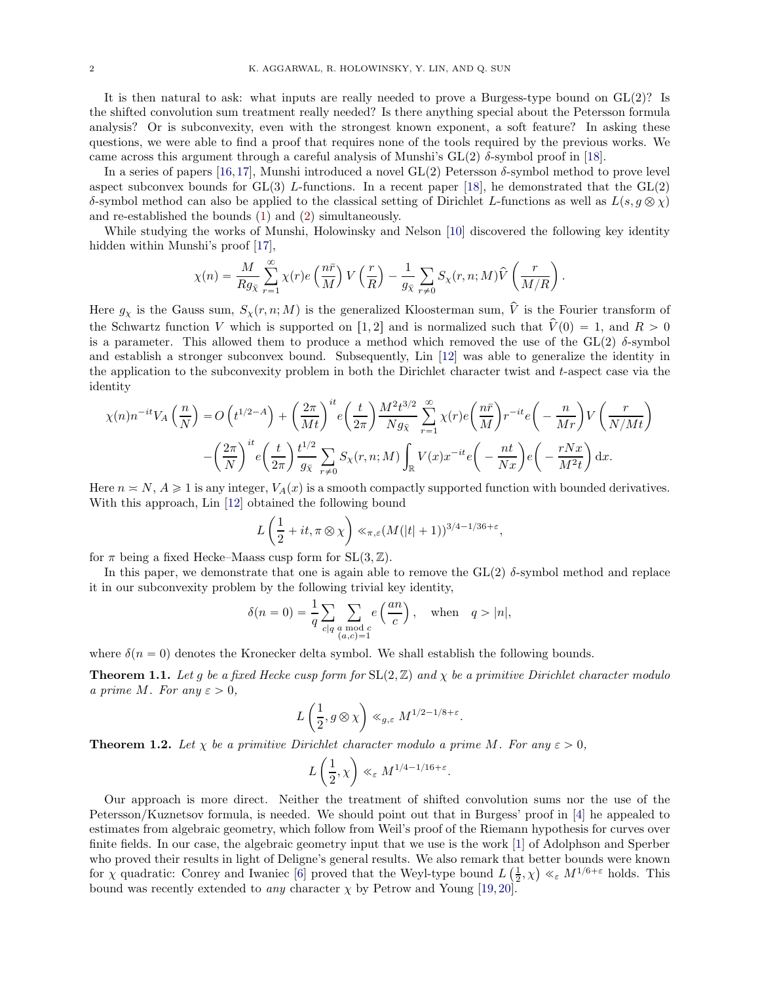It is then natural to ask: what inputs are really needed to prove a Burgess-type bound on  $GL(2)$ ? Is the shifted convolution sum treatment really needed? Is there anything special about the Petersson formula analysis? Or is subconvexity, even with the strongest known exponent, a soft feature? In asking these questions, we were able to find a proof that requires none of the tools required by the previous works. We came across this argument through a careful analysis of Munshi's  $GL(2)$   $\delta$ -symbol proof in [\[18\]](#page-15-6).

In a series of papers [\[16,](#page-15-7)[17\]](#page-15-8), Munshi introduced a novel  $GL(2)$  Petersson  $\delta$ -symbol method to prove level aspect subconvex bounds for  $GL(3)$  L-functions. In a recent paper [\[18\]](#page-15-6), he demonstrated that the  $GL(2)$ δ-symbol method can also be applied to the classical setting of Dirichlet L-functions as well as  $L(s, g \otimes \chi)$ and re-established the bounds [\(1\)](#page-0-1) and [\(2\)](#page-0-0) simultaneously.

While studying the works of Munshi, Holowinsky and Nelson [\[10\]](#page-15-9) discovered the following key identity hidden within Munshi's proof [\[17\]](#page-15-8),

$$
\chi(n) = \frac{M}{Rg_{\bar{\chi}}} \sum_{r=1}^{\infty} \chi(r) e\left(\frac{n\bar{r}}{M}\right) V\left(\frac{r}{R}\right) - \frac{1}{g_{\bar{\chi}}} \sum_{r \neq 0} S_{\chi}(r, n; M) \hat{V}\left(\frac{r}{M/R}\right).
$$

Here  $g_\chi$  is the Gauss sum,  $S_\chi(r, n; M)$  is the generalized Kloosterman sum,  $\hat{V}$  is the Fourier transform of the Schwartz function V which is supported on [1, 2] and is normalized such that  $\hat{V}(0) = 1$ , and  $R > 0$ is a parameter. This allowed them to produce a method which removed the use of the  $GL(2)$   $\delta$ -symbol and establish a stronger subconvex bound. Subsequently, Lin [\[12\]](#page-15-10) was able to generalize the identity in the application to the subconvexity problem in both the Dirichlet character twist and  $t$ -aspect case via the identity

$$
\chi(n)n^{-it}V_A\left(\frac{n}{N}\right) = O\left(t^{1/2-A}\right) + \left(\frac{2\pi}{Mt}\right)^{it}e\left(\frac{t}{2\pi}\right)\frac{M^2t^{3/2}}{Ng_{\bar{X}}}\sum_{r=1}^{\infty}\chi(r)e\left(\frac{n\bar{r}}{M}\right)r^{-it}e\left(-\frac{n}{Mr}\right)V\left(\frac{r}{N/Mt}\right) - \left(\frac{2\pi}{N}\right)^{it}e\left(\frac{t}{2\pi}\right)\frac{t^{1/2}}{g_{\bar{X}}}\sum_{r\neq 0}S_{\chi}(r,n;M)\int_{\mathbb{R}}V(x)x^{-it}e\left(-\frac{nt}{Nx}\right)e\left(-\frac{rNx}{M^2t}\right)dx.
$$

Here  $n \ge N$ ,  $A \ge 1$  is any integer,  $V_A(x)$  is a smooth compactly supported function with bounded derivatives. With this approach, Lin [\[12\]](#page-15-10) obtained the following bound

$$
L\left(\frac{1}{2} + it, \pi \otimes \chi\right) \ll_{\pi, \varepsilon} (M(|t|+1))^{3/4-1/36+\varepsilon},
$$

for  $\pi$  being a fixed Hecke–Maass cusp form for SL $(3, \mathbb{Z})$ .

In this paper, we demonstrate that one is again able to remove the  $GL(2)$   $\delta$ -symbol method and replace it in our subconvexity problem by the following trivial key identity,

$$
\delta(n=0) = \frac{1}{q} \sum_{c|q} \sum_{\substack{a \bmod c \\ (a,c)=1}} e\left(\frac{an}{c}\right), \quad \text{when} \quad q > |n|,
$$

where  $\delta(n = 0)$  denotes the Kronecker delta symbol. We shall establish the following bounds.

<span id="page-1-0"></span>**Theorem 1.1.** Let g be a fixed Hecke cusp form for  $SL(2, \mathbb{Z})$  and  $\chi$  be a primitive Dirichlet character modulo a prime M. For any  $\varepsilon > 0$ ,

$$
L\left(\frac{1}{2},g\otimes\chi\right)\ll_{g,\varepsilon} M^{1/2-1/8+\varepsilon}.
$$

<span id="page-1-1"></span>**Theorem 1.2.** Let  $\chi$  be a primitive Dirichlet character modulo a prime M. For any  $\varepsilon > 0$ ,

$$
L\left(\frac{1}{2},\chi\right)\ll_{\varepsilon} M^{1/4-1/16+\varepsilon}.
$$

Our approach is more direct. Neither the treatment of shifted convolution sums nor the use of the Petersson/Kuznetsov formula, is needed. We should point out that in Burgess' proof in [\[4\]](#page-15-0) he appealed to estimates from algebraic geometry, which follow from Weil's proof of the Riemann hypothesis for curves over finite fields. In our case, the algebraic geometry input that we use is the work [\[1\]](#page-15-11) of Adolphson and Sperber who proved their results in light of Deligne's general results. We also remark that better bounds were known for  $\chi$  quadratic: Conrey and Iwaniec [\[6\]](#page-15-12) proved that the Weyl-type bound  $L\left(\frac{1}{2},\chi\right) \ll_{\varepsilon} M^{1/6+\varepsilon}$  holds. This bound was recently extended to *any* character  $\chi$  by Petrow and Young [\[19,](#page-16-0) [20\]](#page-16-1).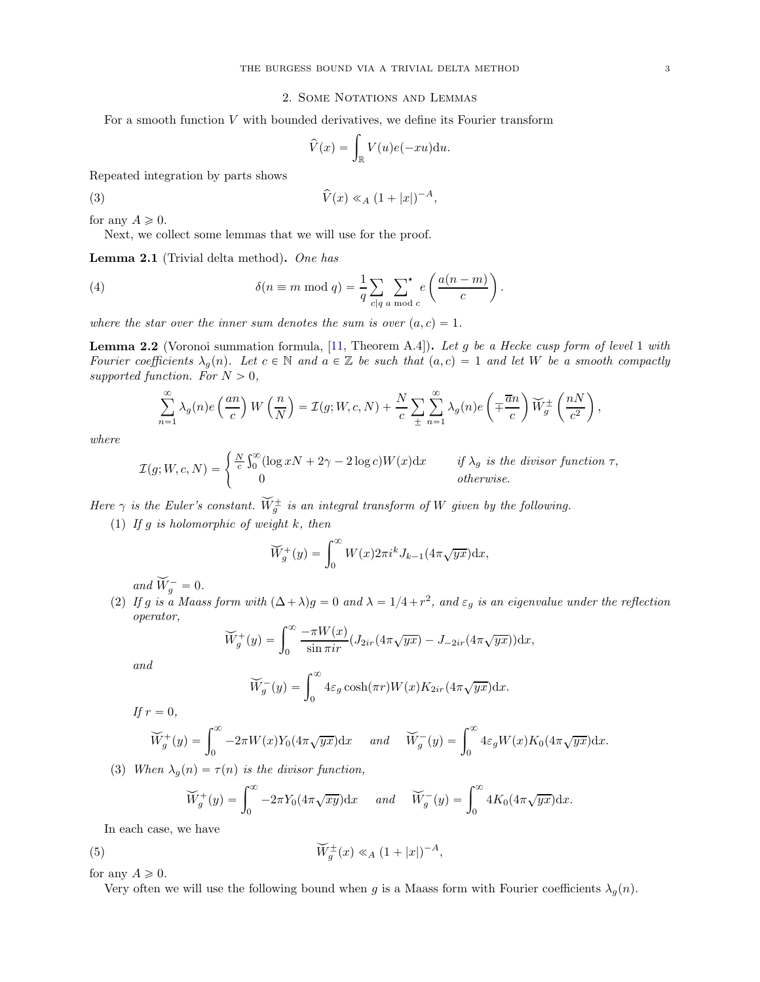### 2. Some Notations and Lemmas

For a smooth function  $V$  with bounded derivatives, we define its Fourier transform

<span id="page-2-2"></span>
$$
\widehat{V}(x) = \int_{\mathbb{R}} V(u)e(-xu) \mathrm{d}u.
$$

Repeated integration by parts shows

$$
(3)
$$

(3) 
$$
\hat{V}(x) \ll_A (1+|x|)^{-A},
$$

for any  $A \geq 0$ .

Next, we collect some lemmas that we will use for the proof.

Lemma 2.1 (Trivial delta method). One has

(4) 
$$
\delta(n \equiv m \mod q) = \frac{1}{q} \sum_{c|q} \sum_{a \mod c}^{\star} e\left(\frac{a(n-m)}{c}\right).
$$

where the star over the inner sum denotes the sum is over  $(a, c) = 1$ .

<span id="page-2-1"></span>**Lemma 2.2** (Voronoi summation formula, [\[11,](#page-15-13) Theorem A.4]). Let g be a Hecke cusp form of level 1 with Fourier coefficients  $\lambda_g(n)$ . Let  $c \in \mathbb{N}$  and  $a \in \mathbb{Z}$  be such that  $(a, c) = 1$  and let W be a smooth compactly supported function. For  $N > 0$ ,

<span id="page-2-0"></span>
$$
\sum_{n=1}^{\infty} \lambda_g(n) e\left(\frac{an}{c}\right) W\left(\frac{n}{N}\right) = \mathcal{I}(g;W,c,N) + \frac{N}{c} \sum_{\pm} \sum_{n=1}^{\infty} \lambda_g(n) e\left(\mp \frac{\overline{a}n}{c}\right) \widetilde{W}_g^{\pm}\left(\frac{nN}{c^2}\right),
$$

where

$$
\mathcal{I}(g;W,c,N) = \begin{cases} \frac{N}{c} \int_0^\infty (\log xN + 2\gamma - 2\log c)W(x) \mathrm{d}x & \text{if } \lambda_g \text{ is the divisor function } \tau, \\ 0 & \text{otherwise.} \end{cases}
$$

Here  $\gamma$  is the Euler's constant.  $\tilde{W}^{\pm}_{g}$  is an integral transform of W given by the following.

(1) If  $g$  is holomorphic of weight  $k$ , then

$$
\widetilde{W}_g^+(y) = \int_0^\infty W(x) 2\pi i^k J_{k-1}(4\pi \sqrt{yx}) \mathrm{d}x,
$$

and  $\tilde{W}_g^- = 0$ .

(2) If g is a Maass form with  $(\Delta + \lambda)g = 0$  and  $\lambda = 1/4 + r^2$ , and  $\varepsilon_g$  is an eigenvalue under the reflection operator,

$$
\widetilde{W}_g^+(y) = \int_0^\infty \frac{-\pi W(x)}{\sin \pi i r} (J_{2ir}(4\pi \sqrt{yx}) - J_{-2ir}(4\pi \sqrt{yx})) dx,
$$

and

$$
\widetilde{W}_g^-(y) = \int_0^\infty 4\varepsilon_g \cosh(\pi r) W(x) K_{2ir} (4\pi \sqrt{yx}) dx.
$$

If  $r = 0$ ,

$$
\widetilde{W}_g^+(y) = \int_0^\infty -2\pi W(x)Y_0(4\pi\sqrt{yx})dx \quad and \quad \widetilde{W}_g^-(y) = \int_0^\infty 4\varepsilon_g W(x)K_0(4\pi\sqrt{yx})dx.
$$

(3) When  $\lambda_g(n) = \tau(n)$  is the divisor function,

$$
\widetilde{W}_g^+(y) = \int_0^\infty -2\pi Y_0(4\pi\sqrt{xy})dx \quad \text{and} \quad \widetilde{W}_g^-(y) = \int_0^\infty 4K_0(4\pi\sqrt{yx})dx.
$$

In each case, we have

(5) 
$$
\widetilde{W}_g^{\pm}(x) \ll_A (1+|x|)^{-A},
$$

for any  $A \geq 0$ .

Very often we will use the following bound when g is a Maass form with Fourier coefficients  $\lambda_q(n)$ .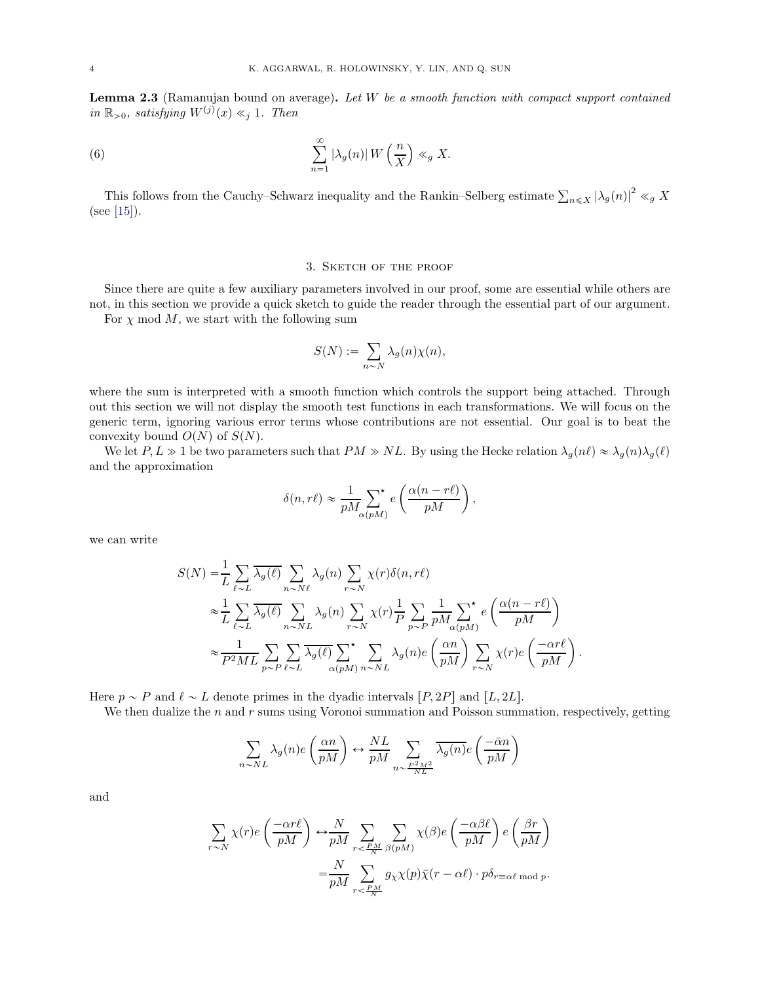<span id="page-3-1"></span>Lemma 2.3 (Ramanujan bound on average). Let W be a smooth function with compact support contained in  $\mathbb{R}_{>0}$ , satisfying  $W^{(j)}(x) \ll_j 1$ . Then

(6) 
$$
\sum_{n=1}^{\infty} |\lambda_g(n)| W\left(\frac{n}{X}\right) \ll_g X.
$$

This follows from the Cauchy–Schwarz inequality and the Rankin–Selberg estimate  $\sum_{n\leq X} |\lambda_g(n)|^2 \ll_g X$ (see [\[15\]](#page-15-14)).

### <span id="page-3-0"></span>3. Sketch of the proof

Since there are quite a few auxiliary parameters involved in our proof, some are essential while others are not, in this section we provide a quick sketch to guide the reader through the essential part of our argument. For  $\chi$  mod  $M$ , we start with the following sum

$$
S(N) := \sum_{n \sim N} \lambda_g(n) \chi(n),
$$

where the sum is interpreted with a smooth function which controls the support being attached. Through out this section we will not display the smooth test functions in each transformations. We will focus on the generic term, ignoring various error terms whose contributions are not essential. Our goal is to beat the convexity bound  $O(N)$  of  $S(N)$ .

We let  $P, L \gg 1$  be two parameters such that  $PM \gg NL$ . By using the Hecke relation  $\lambda_g(n\ell) \approx \lambda_g(n)\lambda_g(\ell)$ and the approximation

$$
\delta(n,r\ell) \approx \frac{1}{pM} \sum_{\alpha(pM)}^{\star} e\left(\frac{\alpha(n-r\ell)}{pM}\right),\,
$$

we can write

$$
S(N) = \frac{1}{L} \sum_{\ell \sim L} \overline{\lambda_g(\ell)} \sum_{n \sim N\ell} \lambda_g(n) \sum_{r \sim N} \chi(r) \delta(n, r\ell)
$$
  
\n
$$
\approx \frac{1}{L} \sum_{\ell \sim L} \overline{\lambda_g(\ell)} \sum_{n \sim NL} \lambda_g(n) \sum_{r \sim N} \chi(r) \frac{1}{P} \sum_{p \sim P} \frac{1}{p M} \sum_{\alpha(pM)} \epsilon \left( \frac{\alpha(n - r\ell)}{pM} \right)
$$
  
\n
$$
\approx \frac{1}{P^2 ML} \sum_{p \sim P} \sum_{\ell \sim L} \overline{\lambda_g(\ell)} \sum_{\alpha(pM)} \sum_{n \sim NL} \lambda_g(n) e \left( \frac{\alpha n}{pM} \right) \sum_{r \sim N} \chi(r) e \left( \frac{-\alpha r\ell}{pM} \right).
$$

Here  $p \sim P$  and  $\ell \sim L$  denote primes in the dyadic intervals  $[P, 2P]$  and  $[L, 2L]$ .

We then dualize the  $n$  and  $r$  sums using Voronoi summation and Poisson summation, respectively, getting

$$
\sum_{n\sim NL}\lambda_g(n)e\left(\frac{\alpha n}{pM}\right)\leftrightarrow \frac{NL}{pM}\sum_{n\sim \frac{P^2M^2}{NL}}\overline{\lambda_g(n)}e\left(\frac{-\bar{\alpha}n}{pM}\right)
$$

and

$$
\begin{split} \sum_{r \sim N} \chi(r) e\left(\frac{-\alpha r \ell}{pM}\right) \leftrightarrow & \frac{N}{pM} \sum_{r < \frac{PM}{N}} \sum_{\beta(pM)} \chi(\beta) e\left(\frac{-\alpha \beta \ell}{pM}\right) e\left(\frac{\beta r}{pM}\right) \\ = & \frac{N}{pM} \sum_{r < \frac{PM}{N}} g_{\chi} \chi(p) \bar{\chi}(r - \alpha \ell) \cdot p \delta_{r \equiv \alpha \ell \bmod p}. \end{split}
$$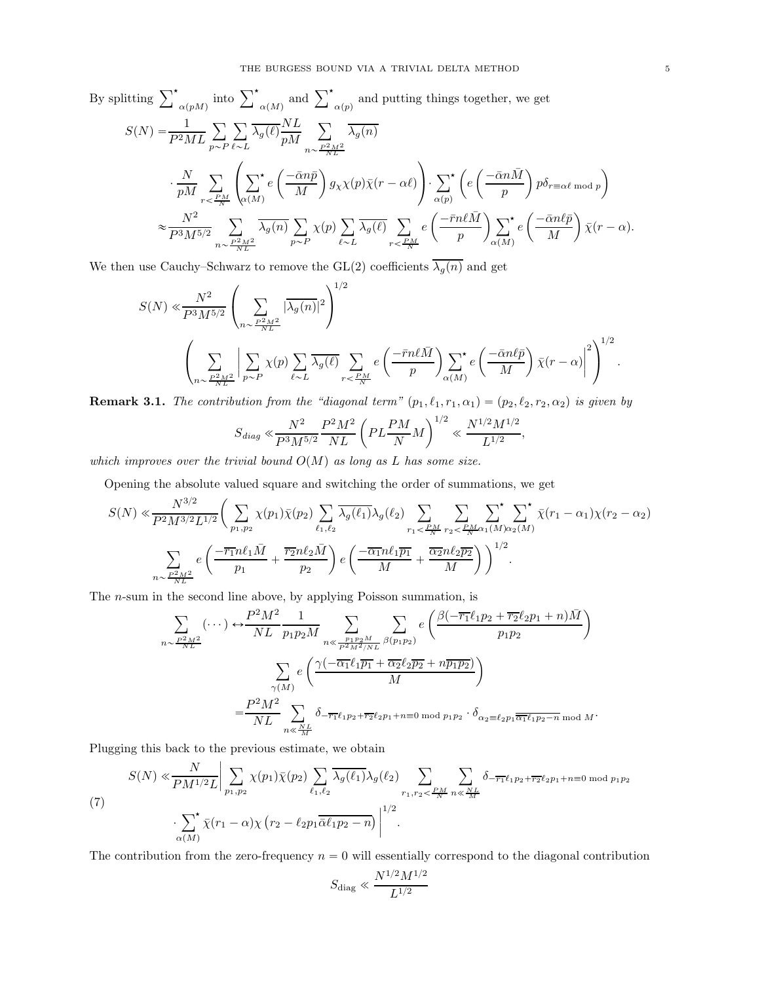By splitting 
$$
\sum_{\alpha(pM)}^{\star}
$$
 into  $\sum_{\alpha(M)}^{\star}$  and  $\sum_{\alpha(p)}^{\star}$  and putting things together, we get  
\n
$$
S(N) = \frac{1}{P^2ML} \sum_{p \sim P} \sum_{\ell \sim L} \frac{1}{\lambda_g(\ell)} \frac{NL}{pM} \sum_{n \sim \frac{P^2M^2}{NL}} \frac{1}{\lambda_g(n)}
$$
\n
$$
\cdot \frac{N}{pM} \sum_{r < \frac{PM}{N}} \left( \sum_{\alpha(M)}^{\star} e\left(\frac{-\bar{\alpha}n\bar{p}}{M}\right) g_{\chi}\chi(p)\bar{\chi}(r-\alpha\ell) \right) \cdot \sum_{\alpha(p)}^{\star} \left( e\left(\frac{-\bar{\alpha}n\bar{M}}{p}\right) p\delta_{r \equiv \alpha\ell \mod p} \right)
$$
\n
$$
\approx \frac{N^2}{P^3M^{5/2}} \sum_{n \sim \frac{P^2M^2}{NL}} \overline{\lambda_g(n)} \sum_{p \sim P} \chi(p) \sum_{\ell \sim L} \overline{\lambda_g(\ell)} \sum_{r < \frac{PM}{N}} e\left(\frac{-\bar{r}n\ell\bar{M}}{p}\right) \sum_{\alpha(M)}^{\star} e\left(\frac{-\bar{\alpha}n\ell\bar{p}}{M}\right) \bar{\chi}(r-\alpha).
$$

We then use Cauchy–Schwarz to remove the GL(2) coefficients  $\overline{\lambda_g(n)}$  and get

$$
S(N) \ll \frac{N^2}{P^3 M^{5/2}} \left( \sum_{n \sim \frac{P^2 M^2}{NL}} |\overline{\lambda_g(n)}|^2 \right)^{1/2} \left( \sum_{n \sim \frac{P^2 M^2}{NL}} |\sum_{p \sim P} \chi(p)| \sum_{\ell \sim L} \overline{\lambda_g(\ell)} \sum_{r \sim \frac{P M}{N}} e\left(\frac{-\bar{r} n \ell \bar{M}}{p}\right) \sum_{\alpha(M)} \left(e\left(\frac{-\bar{\alpha} n \ell \bar{p}}{M}\right) \bar{\chi}(r-\alpha)\right)^2 \right)^{1/2}.
$$

<span id="page-4-0"></span>**Remark 3.1.** The contribution from the "diagonal term"  $(p_1, \ell_1, r_1, \alpha_1) = (p_2, \ell_2, r_2, \alpha_2)$  is given by

$$
S_{diag} \ll \frac{N^2}{P^3 M^{5/2}} \frac{P^2 M^2}{NL} \left( PL \frac{PM}{N} M \right)^{1/2} \ll \frac{N^{1/2} M^{1/2}}{L^{1/2}},
$$

which improves over the trivial bound  $O(M)$  as long as L has some size.

Opening the absolute valued square and switching the order of summations, we get

$$
S(N) \ll \frac{N^{3/2}}{P^2 M^{3/2} L^{1/2}} \bigg( \sum_{p_1, p_2} \chi(p_1) \bar{\chi}(p_2) \sum_{\ell_1, \ell_2} \overline{\lambda_g(\ell_1)} \lambda_g(\ell_2) \sum_{r_1 < \frac{PM}{N}} \sum_{r_2 < \frac{PM}{N} \alpha_1(M) \alpha_2(M)} \sum_{r_1 \leq N \alpha_2(M)} \chi(r_1 - \alpha_1) \chi(r_2 - \alpha_2) \bigg) \bigg( \frac{-\overline{r_1} n \ell_1 \overline{M}}{p_1} + \frac{\overline{r_2} n \ell_2 \overline{M}}{p_2} \bigg) e \bigg( \frac{-\overline{\alpha_1} n \ell_1 \overline{p_1}}{M} + \frac{\overline{\alpha_2} n \ell_2 \overline{p_2}}{M} \bigg) \bigg)^{1/2}.
$$

The n-sum in the second line above, by applying Poisson summation, is

$$
\sum_{n \sim \frac{P^2 M^2}{NL}} (\cdots) \leftrightarrow \frac{P^2 M^2}{NL} \frac{1}{p_1 p_2 M} \sum_{n \ll \frac{p_1 p_2 M}{P^2 M^2 / NL}} \sum_{\beta(p_1 p_2)} e\left(\frac{\beta(-\overline{r_1} \ell_1 p_2 + \overline{r_2} \ell_2 p_1 + n) \overline{M}}{p_1 p_2}\right)
$$
\n
$$
\sum_{\gamma(M)} e\left(\frac{\gamma(-\overline{\alpha_1} \ell_1 \overline{p_1} + \overline{\alpha_2} \ell_2 \overline{p_2} + n \overline{p_1 p_2})}{M}\right)
$$
\n
$$
= \frac{P^2 M^2}{NL} \sum_{n \ll \frac{NL}{M}} \delta_{-\overline{r_1} \ell_1 p_2 + \overline{r_2} \ell_2 p_1 + n \equiv 0 \mod p_1 p_2} \cdot \delta_{\alpha_2 \equiv \ell_2 p_1 \overline{\alpha_1} \ell_1 p_2 - n \mod M}.
$$

Plugging this back to the previous estimate, we obtain

<span id="page-4-1"></span>
$$
(7)
$$
\n
$$
S(N) \ll \frac{N}{PM^{1/2}L} \Big| \sum_{p_1, p_2} \chi(p_1) \bar{\chi}(p_2) \sum_{\ell_1, \ell_2} \overline{\lambda_g(\ell_1)} \lambda_g(\ell_2) \sum_{r_1, r_2 < \frac{PM}{N}} \sum_{n \ll \frac{NL}{M}} \delta_{-\overline{r_1} \ell_1 p_2 + \overline{r_2} \ell_2 p_1 + n \equiv 0 \mod p_1 p_2}
$$
\n
$$
\cdot \sum_{\alpha(M)} \chi(r_1 - \alpha) \chi(r_2 - \ell_2 p_1 \overline{\alpha} \ell_1 p_2 - n) \Big|^{1/2}.
$$

The contribution from the zero-frequency  $n = 0$  will essentially correspond to the diagonal contribution

$$
S_{\rm diag} \ll \frac{N^{1/2} M^{1/2}}{L^{1/2}}
$$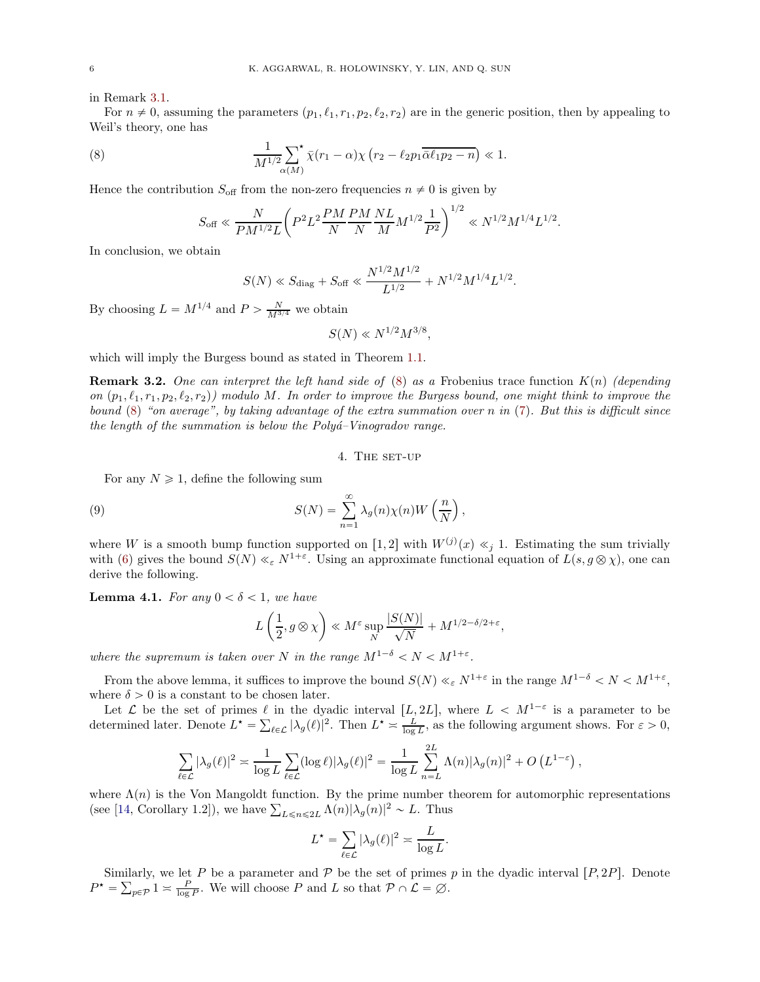in Remark [3.1.](#page-4-0)

For  $n \neq 0$ , assuming the parameters  $(p_1, \ell_1, r_1, p_2, \ell_2, r_2)$  are in the generic position, then by appealing to Weil's theory, one has

(8) 
$$
\frac{1}{M^{1/2} \sum_{\alpha(M)} \chi(r_1 - \alpha) \chi(r_2 - \ell_2 p_1 \overline{\alpha} \ell_1 p_2 - n}) \ll 1.
$$

Hence the contribution  $S_{\text{off}}$  from the non-zero frequencies  $n \neq 0$  is given by

<span id="page-5-0"></span>
$$
S_{\text{off}} \ll \frac{N}{PM^{1/2}L} \bigg( P^2 L^2 \frac{PM}{N} \frac{PM}{N} \frac{NL}{M} M^{1/2} \frac{1}{P^2} \bigg)^{1/2} \ll N^{1/2} M^{1/4} L^{1/2}.
$$

In conclusion, we obtain

$$
S(N) \ll S_{\text{diag}} + S_{\text{off}} \ll \frac{N^{1/2} M^{1/2}}{L^{1/2}} + N^{1/2} M^{1/4} L^{1/2}.
$$

By choosing  $L = M^{1/4}$  and  $P > \frac{N}{M^{3/4}}$  we obtain

 $S(N) \ll N^{1/2} M^{3/8},$ 

which will imply the Burgess bound as stated in Theorem [1.1.](#page-1-0)

**Remark 3.2.** One can interpret the left hand side of  $(8)$  as a Frobenius trace function  $K(n)$  (depending on  $(p_1, \ell_1, r_1, p_2, \ell_2, r_2)$  modulo M. In order to improve the Burgess bound, one might think to improve the bound [\(8\)](#page-5-0) "on average", by taking advantage of the extra summation over n in [\(7\)](#page-4-1). But this is difficult since the length of the summation is below the  $Polyi<sup>2</sup>-Vinoqradov$  range.

<span id="page-5-1"></span>4. The set-up

For any  $N \geq 1$ , define the following sum

(9) 
$$
S(N) = \sum_{n=1}^{\infty} \lambda_g(n) \chi(n) W\left(\frac{n}{N}\right),
$$

where W is a smooth bump function supported on [1, 2] with  $W^{(j)}(x) \ll_j 1$ . Estimating the sum trivially with [\(6\)](#page-3-0) gives the bound  $S(N) \ll_{\varepsilon} N^{1+\varepsilon}$ . Using an approximate functional equation of  $L(s, g \otimes \chi)$ , one can derive the following.

**Lemma 4.1.** For any  $0 < \delta < 1$ , we have

$$
L\left(\frac{1}{2}, g\otimes \chi\right)\ll M^{\varepsilon}\sup_{N}\frac{|S(N)|}{\sqrt{N}}+M^{1/2-\delta/2+\varepsilon},
$$

where the supremum is taken over N in the range  $M^{1-\delta} < N < M^{1+\varepsilon}$ .

From the above lemma, it suffices to improve the bound  $S(N) \ll_{\varepsilon} N^{1+\varepsilon}$  in the range  $M^{1-\delta} < N < M^{1+\varepsilon}$ , where  $\delta > 0$  is a constant to be chosen later.

Let  $\mathcal L$  be the set of primes  $\ell$  in the dyadic interval  $[L, 2L]$ , where  $L < M^{1-\varepsilon}$  is a parameter to be determined later. Denote  $L^* = \sum_{\ell \in \mathcal{L}} |\lambda_g(\ell)|^2$ . Then  $L^* \approx \frac{L}{\log L}$ , as the following argument shows. For  $\varepsilon > 0$ ,

$$
\sum_{\ell \in \mathcal{L}} |\lambda_g(\ell)|^2 \asymp \frac{1}{\log L} \sum_{\ell \in \mathcal{L}} (\log \ell) |\lambda_g(\ell)|^2 = \frac{1}{\log L} \sum_{n=L}^{2L} \Lambda(n) |\lambda_g(n)|^2 + O\left(L^{1-\varepsilon}\right),
$$

where  $\Lambda(n)$  is the Von Mangoldt function. By the prime number theorem for automorphic representations (see [\[14,](#page-15-15) Corollary 1.2]), we have  $\sum_{L \leq n \leq 2L} \Lambda(n) |\lambda_g(n)|^2 \sim L$ . Thus

$$
L^* = \sum_{\ell \in \mathcal{L}} |\lambda_g(\ell)|^2 \approx \frac{L}{\log L}.
$$

Similarly, we let P be a parameter and P be the set of primes p in the dyadic interval  $[P, 2P]$ . Denote  $P^* = \sum_{p \in \mathcal{P}} 1 \approx \frac{P}{\log P}$ . We will choose P and L so that  $\mathcal{P} \cap \mathcal{L} = \emptyset$ .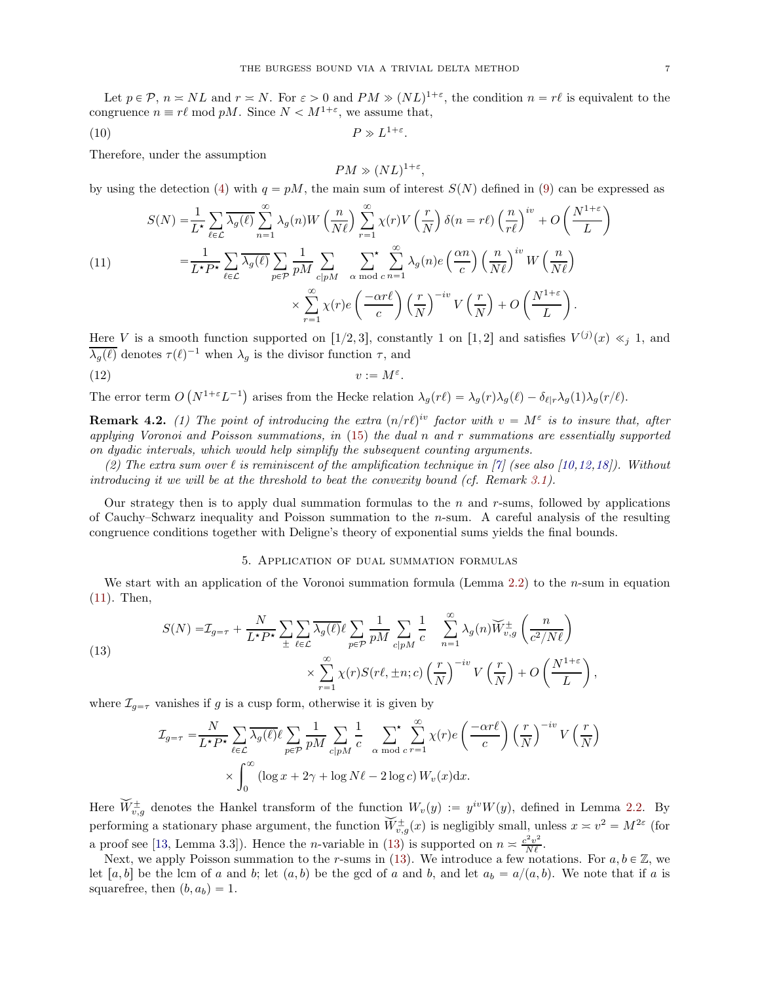Let  $p \in \mathcal{P}$ ,  $n \approx NL$  and  $r \approx N$ . For  $\varepsilon > 0$  and  $PM \gg (NL)^{1+\varepsilon}$ , the condition  $n = r\ell$  is equivalent to the congruence  $n \equiv r\ell \mod pM$ . Since  $N < M^{1+\varepsilon}$ , we assume that,

$$
(10) \t\t P \gg L^{1+\varepsilon}.
$$

Therefore, under the assumption

<span id="page-6-3"></span><span id="page-6-2"></span>
$$
PM \gg (NL)^{1+\varepsilon},
$$

by using the detection [\(4\)](#page-2-0) with  $q = pM$ , the main sum of interest  $S(N)$  defined in [\(9\)](#page-5-1) can be expressed as

<span id="page-6-0"></span>(11)  
\n
$$
S(N) = \frac{1}{L^{\star}} \sum_{\ell \in \mathcal{L}} \overline{\lambda_g(\ell)} \sum_{n=1}^{\infty} \lambda_g(n) W\left(\frac{n}{N\ell}\right) \sum_{r=1}^{\infty} \chi(r) V\left(\frac{r}{N}\right) \delta(n=r\ell) \left(\frac{n}{r\ell}\right)^{iv} + O\left(\frac{N^{1+\varepsilon}}{L}\right)
$$
\n
$$
= \frac{1}{L^{\star}P^{\star}} \sum_{\ell \in \mathcal{L}} \overline{\lambda_g(\ell)} \sum_{p \in \mathcal{P}} \frac{1}{pM} \sum_{c|pM} \sum_{\alpha \bmod c} \sum_{n=1}^{\infty} \lambda_g(n) e\left(\frac{\alpha n}{c}\right) \left(\frac{n}{N\ell}\right)^{iv} W\left(\frac{n}{N\ell}\right)
$$
\n
$$
\times \sum_{r=1}^{\infty} \chi(r) e\left(\frac{-\alpha r\ell}{c}\right) \left(\frac{r}{N}\right)^{-iv} V\left(\frac{r}{N}\right) + O\left(\frac{N^{1+\varepsilon}}{L}\right).
$$

Here V is a smooth function supported on [1/2, 3], constantly 1 on [1, 2] and satisfies  $V^{(j)}(x) \ll_j 1$ , and  $\overline{\lambda_g(\ell)}$  denotes  $\tau(\ell)^{-1}$  when  $\lambda_g$  is the divisor function  $\tau$ , and

$$
(12) \t\t v := M^{\varepsilon}.
$$

The error term  $O(N^{1+\varepsilon}L^{-1})$  arises from the Hecke relation  $\lambda_g(r\ell) = \lambda_g(r)\lambda_g(\ell) - \delta_{\ell|r}\lambda_g(1)\lambda_g(r/\ell)$ .

**Remark 4.2.** (1) The point of introducing the extra  $(n/r\ell)^{iv}$  factor with  $v = M^{\varepsilon}$  is to insure that, after applying Voronoi and Poisson summations, in [\(15\)](#page-7-0) the dual n and r summations are essentially supported on dyadic intervals, which would help simplify the subsequent counting arguments.

(2) The extra sum over  $\ell$  is reminiscent of the amplification technique in [\[7\]](#page-15-1) (see also [\[10](#page-15-9)[,12,](#page-15-10)[18\]](#page-15-6)). Without introducing it we will be at the threshold to beat the convexity bound (cf. Remark  $3.1$ ).

Our strategy then is to apply dual summation formulas to the  $n$  and  $r$ -sums, followed by applications of Cauchy–Schwarz inequality and Poisson summation to the n-sum. A careful analysis of the resulting congruence conditions together with Deligne's theory of exponential sums yields the final bounds.

## 5. Application of dual summation formulas

We start with an application of the Voronoi summation formula (Lemma [2.2\)](#page-2-1) to the *n*-sum in equation [\(11\)](#page-6-0). Then,

<span id="page-6-1"></span>(13)  

$$
S(N) = \mathcal{I}_{g=\tau} + \frac{N}{L^{\star}P^{\star}} \sum_{\pm} \sum_{\ell \in \mathcal{L}} \overline{\lambda_g(\ell)} \ell \sum_{p \in \mathcal{P}} \frac{1}{pM} \sum_{c|pM} \frac{1}{c} \sum_{n=1}^{\infty} \lambda_g(n) \widetilde{W}_{v,g}^{\pm} \left(\frac{n}{c^2/N\ell}\right)
$$

$$
\times \sum_{r=1}^{\infty} \chi(r) S(r\ell, \pm n; c) \left(\frac{r}{N}\right)^{-iv} V\left(\frac{r}{N}\right) + O\left(\frac{N^{1+\epsilon}}{L}\right)
$$

where  $\mathcal{I}_{g=\tau}$  vanishes if g is a cusp form, otherwise it is given by

$$
\mathcal{I}_{g=\tau} = \frac{N}{L^{\star}P^{\star}} \sum_{\ell \in \mathcal{L}} \overline{\lambda_g(\ell)} \ell \sum_{p \in \mathcal{P}} \frac{1}{pM} \sum_{c|pM} \frac{1}{c} \sum_{\alpha \bmod c} \sum_{r=1}^{\infty} \chi(r) e\left(\frac{-\alpha r\ell}{c}\right) \left(\frac{r}{N}\right)^{-iv} V\left(\frac{r}{N}\right)
$$

$$
\times \int_0^{\infty} \left(\log x + 2\gamma + \log N\ell - 2\log c\right) W_v(x) dx.
$$

Here  $\tilde{W}_{v,g}^{\pm}$  denotes the Hankel transform of the function  $W_v(y) := y^{iv}W(y)$ , defined in Lemma [2.2.](#page-2-1) By performing a stationary phase argument, the function  $\widetilde{W}^{\pm}_{v,g}(x)$  is negligibly small, unless  $x \approx v^2 = M^{2\varepsilon}$  (for a proof see [\[13,](#page-15-16) Lemma 3.3]). Hence the *n*-variable in [\(13\)](#page-6-1) is supported on  $n \geq \frac{c^2 v^2}{N\ell}$ .

Next, we apply Poisson summation to the r-sums in [\(13\)](#page-6-1). We introduce a few notations. For  $a, b \in \mathbb{Z}$ , we let [a, b] be the lcm of a and b; let  $(a, b)$  be the gcd of a and b, and let  $a_b = a/(a, b)$ . We note that if a is squarefree, then  $(b, a_b) = 1$ .

,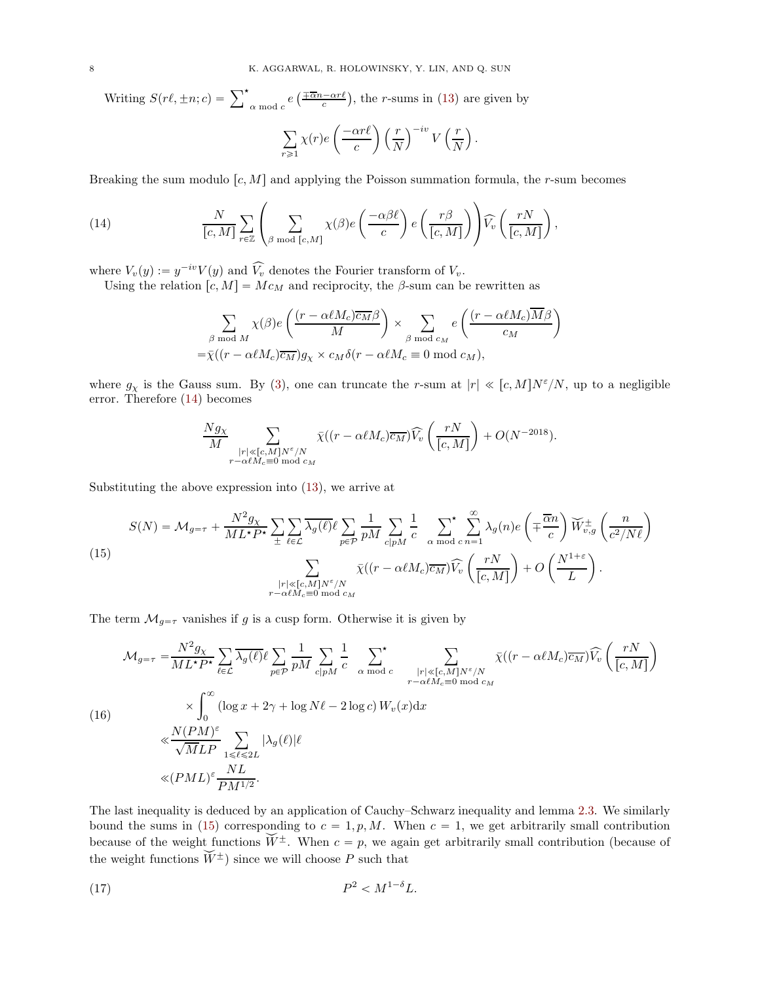Writing  $S(r\ell, \pm n; c) = \sum_{\alpha \bmod c}^{\star} e\left(\frac{\pm \overline{\alpha}n - \alpha r\ell}{c}\right)$ , the r-sums in [\(13\)](#page-6-1) are given by  $\overline{\mathbf{v}}$  $\sum_{r\geqslant 1} \chi(r)e$  $\int \frac{-\alpha r \ell}{\alpha}$ c  $\bigwedge r$ N  $\int^{-iv} V\left(\frac{r}{\lambda}\right)$ N  $\overline{)}$  .

Breaking the sum modulo  $[c, M]$  and applying the Poisson summation formula, the r-sum becomes

(14) 
$$
\frac{N}{[c,M]} \sum_{r \in \mathbb{Z}} \left( \sum_{\beta \bmod [c,M]} \chi(\beta) e\left(\frac{-\alpha \beta \ell}{c}\right) e\left(\frac{r\beta}{[c,M]}\right) \right) \widehat{V}_v\left(\frac{rN}{[c,M]}\right),
$$

where  $V_v(y) := y^{-iv}V(y)$  and  $\widehat{V_v}$  denotes the Fourier transform of  $V_v$ .

Using the relation  $[c, M] = Mc_M$  and reciprocity, the  $\beta$ -sum can be rewritten as

<span id="page-7-1"></span>
$$
\sum_{\beta \bmod M} \chi(\beta) e\left(\frac{(r - \alpha \ell M_c)\overline{c_M}\beta}{M}\right) \times \sum_{\beta \bmod c_M} e\left(\frac{(r - \alpha \ell M_c)\overline{M}\beta}{c_M}\right)
$$
  
=  $\overline{\chi}((r - \alpha \ell M_c)\overline{c_M})g_\chi \times c_M\delta(r - \alpha \ell M_c \equiv 0 \bmod c_M),$ 

where  $g_{\chi}$  is the Gauss sum. By [\(3\)](#page-2-2), one can truncate the r-sum at  $|r| \ll [c, M]N^{\epsilon}/N$ , up to a negligible error. Therefore [\(14\)](#page-7-1) becomes

$$
\frac{N g_{\chi}}{M} \sum_{\substack{|r| \ll [c, M]N^{\varepsilon}/N \\ r - \alpha \ell M_c \equiv 0 \bmod{c_M}}} \bar{\chi}((r - \alpha \ell M_c) \overline{c_M}) \widehat{V}_v\left(\frac{rN}{[c, M]}\right) + O(N^{-2018}).
$$

Substituting the above expression into [\(13\)](#page-6-1), we arrive at

<span id="page-7-0"></span>(15)  
\n
$$
S(N) = \mathcal{M}_{g=\tau} + \frac{N^2 g_X}{ML^{\star} P^{\star}} \sum_{\pm} \sum_{\ell \in \mathcal{L}} \overline{\lambda_g(\ell)} \ell \sum_{p \in \mathcal{P}} \frac{1}{pM} \sum_{c|pM} \frac{1}{c} \sum_{\alpha \bmod c} \sum_{n=1}^{\infty} \lambda_g(n) e\left(\mp \frac{\overline{\alpha}n}{c}\right) \widetilde{W}_{v,g}^{\pm} \left(\frac{n}{c^2/N\ell}\right)
$$
\n
$$
\sum_{\substack{|r| \ll [c,M]N^{\varepsilon}/N \\ r-\alpha \ell M_c \equiv 0 \bmod c_M}} \overline{\chi}((r - \alpha \ell M_c) \overline{c_M}) \widehat{V}_v \left(\frac{rN}{[c,M]} \right) + O\left(\frac{N^{1+\varepsilon}}{L}\right).
$$

The term  $\mathcal{M}_{g=\tau}$  vanishes if g is a cusp form. Otherwise it is given by

<span id="page-7-2"></span>
$$
\mathcal{M}_{g=\tau} = \frac{N^2 g_X}{ML^{\star} P^{\star}} \sum_{\ell \in \mathcal{L}} \overline{\lambda_g(\ell)} \ell \sum_{p \in \mathcal{P}} \frac{1}{pM} \sum_{c|pM} \frac{1}{c} \sum_{\alpha \bmod c} \sum_{\substack{|r| \ll [c,M]N^{\epsilon}/N \\ r-\alpha \ell M_c \equiv 0 \bmod c_M}} \overline{\chi((r-\alpha \ell M_c)\overline{c_M})} \widehat{V}_v \left(\frac{rN}{[c,M]}\right)
$$
\n
$$
\times \int_0^\infty (\log x + 2\gamma + \log N\ell - 2 \log c) W_v(x) dx
$$
\n
$$
\ll \frac{N(PM)^{\epsilon}}{\sqrt{M} L P} \sum_{1 \leq \ell \leq 2L} |\lambda_g(\ell)| \ell
$$
\n
$$
\ll (PML)^{\epsilon} \frac{NL}{PM^{1/2}}.
$$

The last inequality is deduced by an application of Cauchy–Schwarz inequality and lemma [2.3.](#page-3-1) We similarly bound the sums in [\(15\)](#page-7-0) corresponding to  $c = 1, p, M$ . When  $c = 1$ , we get arbitrarily small contribution because of the weight functions  $\widetilde{W}^{\pm}$ . When  $c = p$ , we again get arbitrarily small contribution (because of the weight functions  $\widetilde{W}^{\pm}$ ) since we will choose P such that

<span id="page-7-3"></span>
$$
(17) \t\t\t P^2 < M^{1-\delta}L.
$$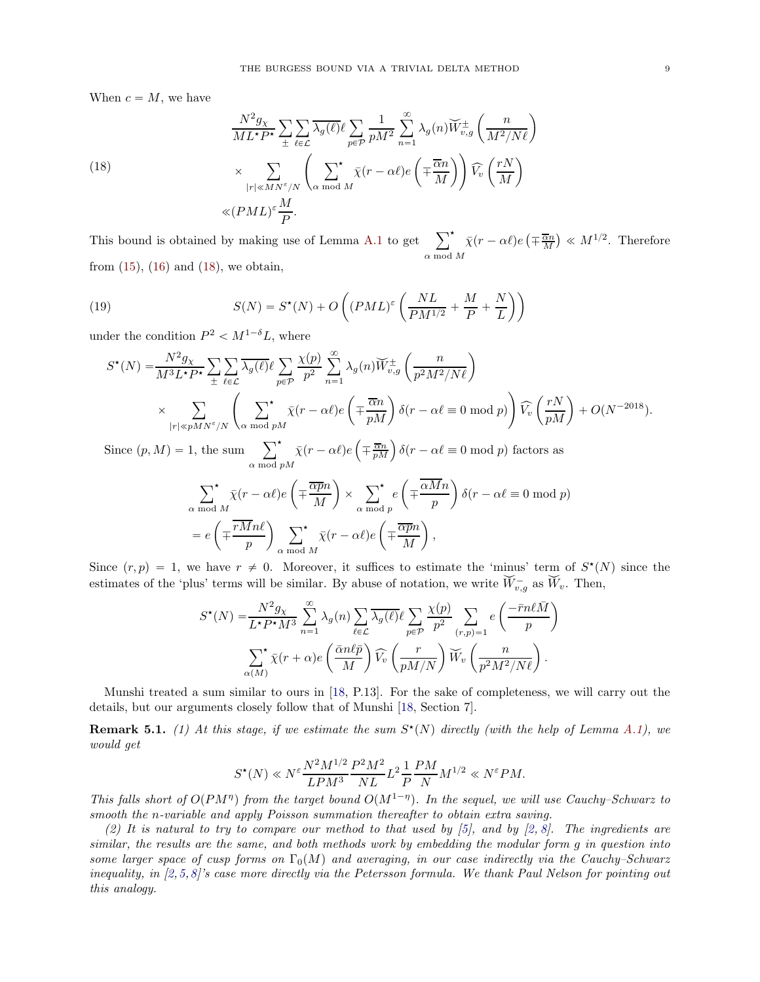When  $c = M$ , we have

<span id="page-8-0"></span>(18)  
\n
$$
\frac{N^2 g_X}{ML^* P^*} \sum_{\pm} \sum_{\ell \in \mathcal{L}} \overline{\lambda_g(\ell)} \ell \sum_{p \in \mathcal{P}} \frac{1}{p M^2} \sum_{n=1}^{\infty} \lambda_g(n) \widecheck{W}_{v,g}^{\pm} \left( \frac{n}{M^2/N\ell} \right)
$$
\n
$$
\times \sum_{|r| \ll MN^{\epsilon}/N} \left( \sum_{\alpha \bmod M} \overline{\chi}(r - \alpha \ell) e\left( \mp \frac{\overline{\alpha}n}{M} \right) \right) \widehat{V}_v \left( \frac{rN}{M} \right)
$$
\n
$$
\ll (PML)^{\epsilon} \frac{M}{P}.
$$

This bound is obtained by making use of Lemma [A.1](#page-12-0) to get  $\sum_{i=1}^{k}$  $\sum_{\alpha \bmod M}^{\star} \bar{\chi}(r-\alpha \ell) e\left(\mp \frac{\overline{\alpha}n}{M}\right) \ll M^{1/2}$ . Therefore from  $(15)$ ,  $(16)$  and  $(18)$ , we obtain,

(19) 
$$
S(N) = S^{\star}(N) + O\left((PML)^{\varepsilon}\left(\frac{NL}{PM^{1/2}} + \frac{M}{P} + \frac{N}{L}\right)\right)
$$

under the condition  $P^2 < M^{1-\delta}L$ , where

<span id="page-8-1"></span>
$$
S^{\star}(N) = \frac{N^2 g_X}{M^3 L^{\star} P^{\star}} \sum_{\pm} \sum_{\ell \in \mathcal{L}} \overline{\lambda_g(\ell)} \ell \sum_{p \in \mathcal{P}} \frac{\chi(p)}{p^2} \sum_{n=1}^{\infty} \lambda_g(n) \overline{W}^{\pm}_{v,g} \left( \frac{n}{p^2 M^2 / N \ell} \right)
$$
  
\$\times \sum\_{|r| \ll p M N^{\varepsilon}/N} \left( \sum\_{\alpha \bmod p M}^{\star} \overline{\chi}(r - \alpha \ell) e\left( \mp \frac{\overline{\alpha} n}{p M} \right) \delta(r - \alpha \ell \equiv 0 \bmod p) \right) \widehat{V}\_v \left( \frac{r N}{p M} \right) + O(N^{-2018}).

Since  $(p, M) = 1$ , the sum  $\sum_{\alpha \bmod pM}^{\star} \bar{\chi}(r - \alpha \ell) e$  $\left(\mp \frac{\overline{\alpha}n}{pM}\right)\delta(r - \alpha \ell \equiv 0 \bmod p)$  factors as

$$
\sum_{\alpha \bmod M}^{r} \bar{\chi}(r - \alpha \ell) e\left(\mp \frac{\overline{\alpha p} n}{M}\right) \times \sum_{\alpha \bmod p}^{r} e\left(\mp \frac{\overline{\alpha M} n}{p}\right) \delta(r - \alpha \ell \equiv 0 \bmod p)
$$

$$
= e\left(\mp \frac{\overline{rM} n \ell}{p}\right) \sum_{\alpha \bmod M}^{r} \bar{\chi}(r - \alpha \ell) e\left(\mp \frac{\overline{\alpha p} n}{M}\right),
$$

Since  $(r, p) = 1$ , we have  $r \neq 0$ . Moreover, it suffices to estimate the 'minus' term of  $S^*(N)$  since the estimates of the 'plus' terms will be similar. By abuse of notation, we write  $\widetilde{W}_{v,g}^-$  as  $\widetilde{W}_v$ . Then,

$$
S^{\star}(N) = \frac{N^2 g_X}{L^{\star} P^{\star} M^3} \sum_{n=1}^{\infty} \lambda_g(n) \sum_{\ell \in \mathcal{L}} \overline{\lambda_g(\ell)} \ell \sum_{p \in \mathcal{P}} \frac{\chi(p)}{p^2} \sum_{(r,p)=1} e\left(\frac{-\bar{r} n \ell \bar{M}}{p}\right)
$$

$$
\sum_{\alpha(M)}^{\star} \bar{\chi}(r+\alpha) e\left(\frac{\bar{\alpha} n \ell \bar{p}}{M}\right) \widehat{V_v}\left(\frac{r}{p M/N}\right) \widecheck{W}_v\left(\frac{n}{p^2 M^2/N\ell}\right).
$$

Munshi treated a sum similar to ours in [\[18,](#page-15-6) P.13]. For the sake of completeness, we will carry out the details, but our arguments closely follow that of Munshi [\[18,](#page-15-6) Section 7].

**Remark 5.1.** (1) At this stage, if we estimate the sum  $S^*(N)$  directly (with the help of Lemma [A.1\)](#page-12-0), we would get

$$
S^{\star}(N) \ll N^{\varepsilon} \frac{N^2 M^{1/2}}{L P M^3} \frac{P^2 M^2}{NL} L^2 \frac{1}{P} \frac{P M}{N} M^{1/2} \ll N^{\varepsilon} P M.
$$

This falls short of  $O(PM<sup>\eta</sup>)$  from the target bound  $O(M<sup>1-\eta</sup>)$ . In the sequel, we will use Cauchy–Schwarz to smooth the n-variable and apply Poisson summation thereafter to obtain extra saving.

(2) It is natural to try to compare our method to that used by  $(5)$ , and by  $(2, 8)$ . The ingredients are similar, the results are the same, and both methods work by embedding the modular form g in question into some larger space of cusp forms on  $\Gamma_0(M)$  and averaging, in our case indirectly via the Cauchy–Schwarz inequality, in [\[2,](#page-15-4)[5,](#page-15-2)[8\]](#page-15-5)'s case more directly via the Petersson formula. We thank Paul Nelson for pointing out this analogy.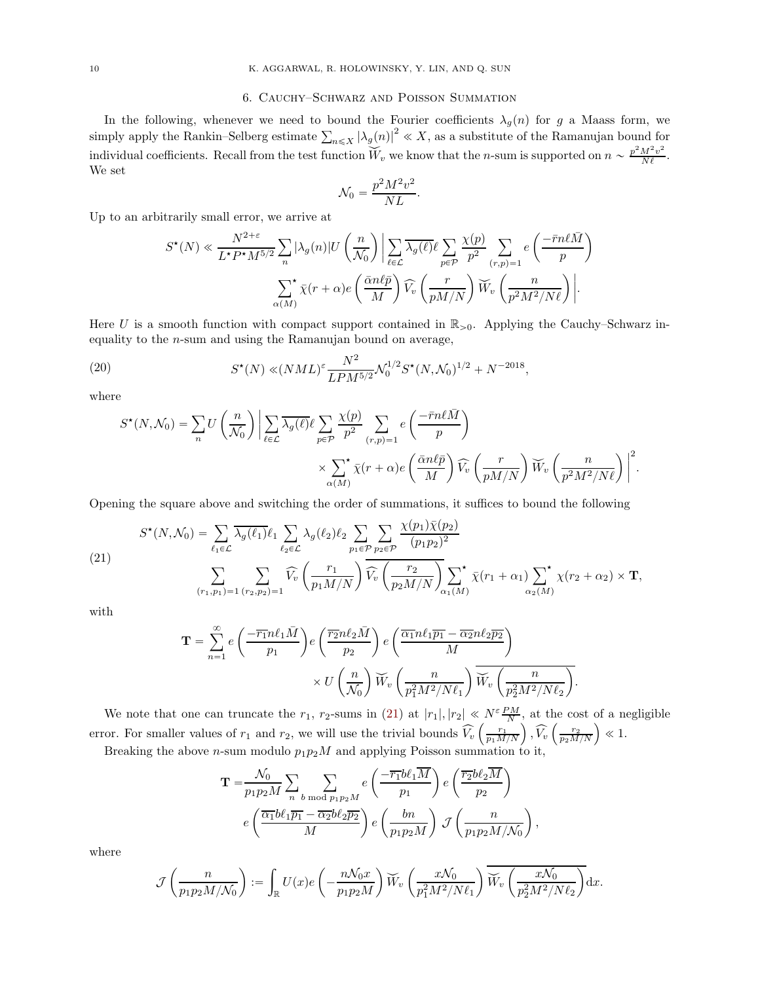### 6. Cauchy–Schwarz and Poisson Summation

In the following, whenever we need to bound the Fourier coefficients  $\lambda_q(n)$  for g a Maass form, we simply apply the Rankin–Selberg estimate  $\sum_{n\leq X} |\lambda_g(n)|^2 \ll X$ , as a substitute of the Ramanujan bound for individual coefficients. Recall from the test function  $\widetilde{W}_v$  we know that the *n*-sum is supported on  $n \sim \frac{p^2 M^2 v^2}{N\ell}$ . We set

$$
\mathcal{N}_0 = \frac{p^2 M^2 v^2}{N L}.
$$

Up to an arbitrarily small error, we arrive at

$$
S^{\star}(N) \ll \frac{N^{2+\varepsilon}}{L^{\star}P^{\star}M^{5/2}} \sum_{n} |\lambda_g(n)| U\left(\frac{n}{\mathcal{N}_0}\right) \Big| \sum_{\ell \in \mathcal{L}} \overline{\lambda_g(\ell)} \ell \sum_{p \in \mathcal{P}} \frac{\chi(p)}{p^2} \sum_{(r,p)=1} e\left(\frac{-\bar{r}n\ell\bar{M}}{p}\right)
$$

$$
\sum_{\alpha(M)}^{\star} \overline{\chi}(r+\alpha) e\left(\frac{\bar{\alpha}n\ell\bar{p}}{M}\right) \widehat{V}_v\left(\frac{r}{pM/N}\right) \overline{W}_v\left(\frac{n}{p^2M^2/N\ell}\right) \Big|.
$$

Here U is a smooth function with compact support contained in  $\mathbb{R}_{>0}$ . Applying the Cauchy–Schwarz inequality to the n-sum and using the Ramanujan bound on average,

<span id="page-9-1"></span>(20) 
$$
S^{\star}(N) \ll (NML)^{\varepsilon} \frac{N^2}{LPM^{5/2}} \mathcal{N}_0^{1/2} S^{\star}(N, \mathcal{N}_0)^{1/2} + N^{-2018},
$$

where

$$
S^{\star}(N, \mathcal{N}_0) = \sum_{n} U\left(\frac{n}{\mathcal{N}_0}\right) \left| \sum_{\ell \in \mathcal{L}} \overline{\lambda_g(\ell)} \ell \sum_{p \in \mathcal{P}} \frac{\chi(p)}{p^2} \sum_{(r, p) = 1} e\left(\frac{-\overline{r}n\ell\overline{M}}{p}\right) \times \sum_{\alpha(M)}^{\star} \overline{\chi}(r + \alpha) e\left(\frac{\overline{\alpha}n\ell\overline{p}}{M}\right) \widehat{V}_v\left(\frac{r}{pM/N}\right) \overline{W}_v\left(\frac{n}{p^2M^2/N\ell}\right) \right|^2.
$$

Opening the square above and switching the order of summations, it suffices to bound the following

<span id="page-9-0"></span>(21)  
\n
$$
S^{\star}(N, \mathcal{N}_0) = \sum_{\ell_1 \in \mathcal{L}} \overline{\lambda_g(\ell_1)} \ell_1 \sum_{\ell_2 \in \mathcal{L}} \lambda_g(\ell_2) \ell_2 \sum_{p_1 \in \mathcal{P}} \sum_{p_2 \in \mathcal{P}} \frac{\chi(p_1) \overline{\chi}(p_2)}{(p_1 p_2)^2}
$$
\n
$$
\sum_{(r_1, p_1) = 1} \sum_{(r_2, p_2) = 1} \widehat{V}_v \left( \frac{r_1}{p_1 M/N} \right) \overline{\widehat{V}_v} \left( \frac{r_2}{p_2 M/N} \right) \sum_{\alpha_1(M)}^{\star} \overline{\chi}(r_1 + \alpha_1) \sum_{\alpha_2(M)}^{\star} \chi(r_2 + \alpha_2) \times \mathbf{T},
$$

with

$$
\mathbf{T} = \sum_{n=1}^{\infty} e\left(\frac{-\overline{r_1}n\ell_1\bar{M}}{p_1}\right) e\left(\frac{\overline{r_2}n\ell_2\bar{M}}{p_2}\right) e\left(\frac{\overline{\alpha_1}n\ell_1\overline{p_1} - \overline{\alpha_2}n\ell_2\overline{p_2}}{M}\right)
$$

$$
\times U\left(\frac{n}{\mathcal{N}_0}\right) \widetilde{W}_v\left(\frac{n}{p_1^2M^2/N\ell_1}\right) \overline{\widetilde{W}_v\left(\frac{n}{p_2^2M^2/N\ell_2}\right)}
$$

.

We note that one can truncate the  $r_1$ ,  $r_2$ -sums in [\(21\)](#page-9-0) at  $|r_1|, |r_2| \ll N^{\varepsilon} \frac{PM}{N}$ , at the cost of a negligible error. For smaller values of  $r_1$  and  $r_2$ , we will use the trivial bounds  $\widehat{V}_v \left( \frac{r_1}{p_1 M/N} \right)$  $\Big)$  ,  $\widehat{V}_v \left( \frac{r_2}{p_2 M/N} \right)$  $\Big) \ll 1.$ Breaking the above *n*-sum modulo  $p_1p_2M$  and applying Poisson summation to it,

$$
\mathbf{T} = \frac{\mathcal{N}_0}{p_1 p_2 M} \sum_n \sum_{b \bmod p_1 p_2 M} e\left(\frac{-\overline{r_1} b \ell_1 \overline{M}}{p_1}\right) e\left(\frac{\overline{r_2} b \ell_2 \overline{M}}{p_2}\right)
$$

$$
e\left(\frac{\overline{\alpha_1} b \ell_1 \overline{p_1} - \overline{\alpha_2} b \ell_2 \overline{p_2}}{M}\right) e\left(\frac{bn}{p_1 p_2 M}\right) \mathcal{J}\left(\frac{n}{p_1 p_2 M / \mathcal{N}_0}\right),
$$

where

$$
\mathcal{J}\left(\frac{n}{p_1p_2M/\mathcal{N}_0}\right) := \int_{\mathbb{R}} U(x)e\left(-\frac{n\mathcal{N}_0x}{p_1p_2M}\right)\widetilde{W}_v\left(\frac{x\mathcal{N}_0}{p_1^2M^2/N\ell_1}\right)\overline{\widetilde{W}_v\left(\frac{x\mathcal{N}_0}{p_2^2M^2/N\ell_2}\right)}\mathrm{d}x.
$$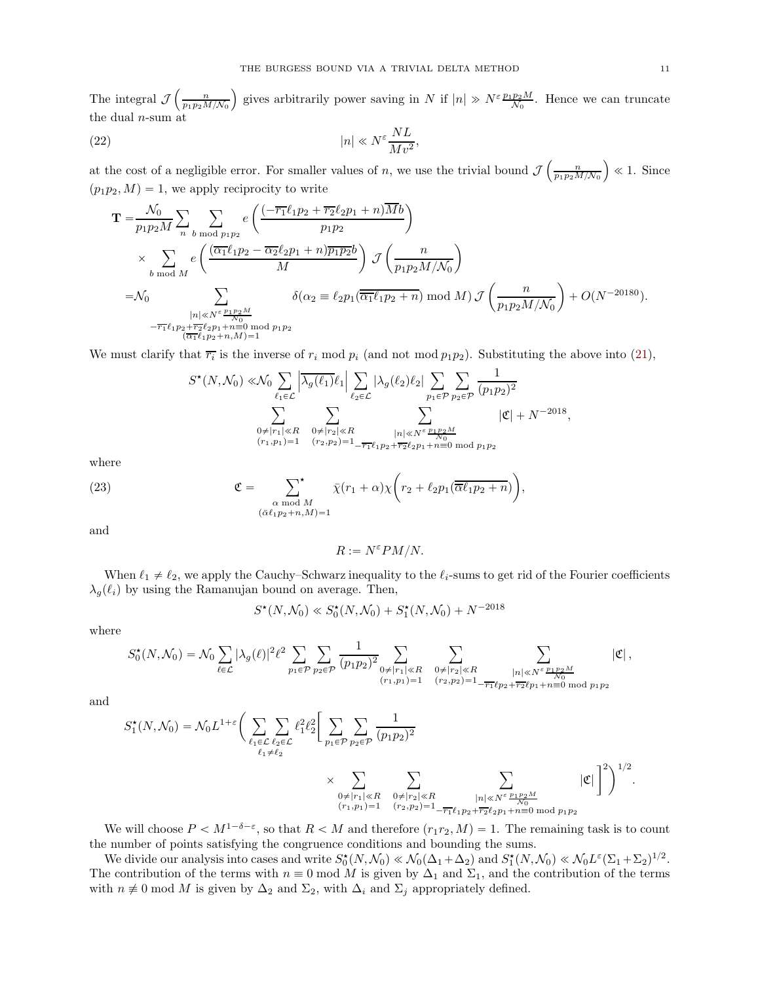The integral  $\mathcal{J}\left(\frac{n}{p_1p_2M/N_0}\right)$ ) gives arbitrarily power saving in N if  $|n| \gg N^{\varepsilon} \frac{p_1 p_2 M}{\mathcal{N}_0}$ . Hence we can truncate the dual  $n$ -sum at

(22) 
$$
|n| \ll N^{\varepsilon} \frac{NL}{Mv^2},
$$

at the cost of a negligible error. For smaller values of n, we use the trivial bound  $\mathcal{J}\left(\frac{n}{p_1p_2M/N_0}\right)$  $\Big) \ll 1.$  Since  $(p_1p_2, M) = 1$ , we apply reciprocity to write

<span id="page-10-1"></span>
$$
\mathbf{T} = \frac{\mathcal{N}_0}{p_1 p_2 M} \sum_n \sum_{b \bmod p_1 p_2} e\left(\frac{(-\overline{r_1} \ell_1 p_2 + \overline{r_2} \ell_2 p_1 + n) \overline{M} b}{p_1 p_2}\right)
$$
  
\$\times \sum\_{b \bmod M} e\left(\frac{(\overline{\alpha\_1} \ell\_1 p\_2 - \overline{\alpha\_2} \ell\_2 p\_1 + n) \overline{p\_1 p\_2} b}{M}\right) \mathcal{J}\left(\frac{n}{p\_1 p\_2 M/N\_0}\right)\$  
=\mathcal{N}\_0 \sum\_{\substack{|n| \ll N^{\varepsilon} \frac{p\_1 p\_2 M}{N\_0}}{n \equiv 0 \pmod{p\_1 p\_2}} \delta(\alpha\_2 \equiv \ell\_2 p\_1(\overline{\overline{\alpha\_1} \ell\_1 p\_2 + n}) \bmod M) \mathcal{J}\left(\frac{n}{p\_1 p\_2 M/N\_0}\right) + O(N^{-20180}).  
-\overline{r\_1} \ell\_1 p\_2 + \overline{r\_2} \ell\_2 p\_1 + n \equiv 0 \bmod{p\_1 p\_2}}

We must clarify that  $\overline{r_i}$  is the inverse of  $r_i \mod p_i$  (and not mod  $p_1p_2$ ). Substituting the above into [\(21\)](#page-9-0),

$$
S^{\star}(N,\mathcal{N}_0) \ll \hspace{-0.25cm} \mathcal{N}_0 \sum_{\ell_1 \in \mathcal{L}} \left| \overline{\lambda_g(\ell_1)} \ell_1 \right| \sum_{\ell_2 \in \mathcal{L}} |\lambda_g(\ell_2) \ell_2| \sum_{p_1 \in \mathcal{P}} \sum_{p_2 \in \mathcal{P}} \frac{1}{(p_1 p_2)^2} \times \sum_{\substack{0 \neq |r_1| \ll R \\ (r_1,p_1)=1}} \sum_{\substack{0 \neq |r_2| \ll R \\ (r_2,p_2)=1}} \sum_{\substack{|n| \ll N^{\varepsilon} \frac{p_1 p_2 M}{N_0} \\ r_2 \ell_2 p_1 + n \equiv 0 \bmod{p_1 p_2}}} |\mathfrak{C}| + N^{-2018},
$$

where

(23) 
$$
\mathfrak{C} = \sum_{\substack{\alpha \bmod M \\ (\bar{\alpha}\ell_1 p_2 + n, M) = 1}} \bar{\chi}(r_1 + \alpha) \chi\bigg(r_2 + \ell_2 p_1(\overline{\overline{\alpha}\ell_1 p_2 + n})\bigg),
$$

and

<span id="page-10-0"></span> $R := N^{\varepsilon} P M / N.$ 

When  $\ell_1 \neq \ell_2$ , we apply the Cauchy–Schwarz inequality to the  $\ell_i$ -sums to get rid of the Fourier coefficients  $\lambda_q(\ell_i)$  by using the Ramanujan bound on average. Then,

$$
S^{\star}(N, \mathcal{N}_0) \ll S_0^{\star}(N, \mathcal{N}_0) + S_1^{\star}(N, \mathcal{N}_0) + N^{-2018}
$$

where

$$
S_0^{\star}(N,\mathcal{N}_0)=\mathcal{N}_0\sum_{\ell\in\mathcal{L}}|\lambda_g(\ell)|^2\ell^2\sum_{p_1\in\mathcal{P}}\sum_{p_2\in\mathcal{P}}\frac{1}{(p_1p_2)^2}\sum_{\substack{0\neq|r_1|\ll R\\(r_1,p_1)=1}}\sum_{\substack{0\neq|r_2|\ll R\\(r_2,p_2)=1}}\sum_{\substack{|n|\ll N^{\varepsilon}\frac{p_1p_2M}{N_0}\\n\equiv0 \bmod p_1p_2}}|\mathfrak{C}|\,,
$$

and

$$
S_1^{\star}(N,\mathcal{N}_0) = \mathcal{N}_0 L^{1+\varepsilon} \bigg( \sum_{\substack{\ell_1 \in \mathcal{L} \\ \ell_2 \neq \ell_2}} \sum_{\substack{\ell_2 \in \mathcal{L} \\ \ell_1 \neq \ell_2}} \ell_1^2 \ell_2^2 \bigg[ \sum_{p_1 \in \mathcal{P}} \sum_{p_2 \in \mathcal{P}} \frac{1}{(p_1 p_2)^2} \\ \times \sum_{\substack{0 \neq |r_1| \ll R \\ (r_1,p_1)=1}} \sum_{\substack{0 \neq |r_2| \ll R \\ (r_2,p_2)=1}} \sum_{\substack{|n| \ll N^{\varepsilon}} \frac{p_1 p_2 M}{N^0}} |\mathfrak{C}| \bigg]^2 \bigg)^{1/2}.
$$

We will choose  $P \lt M^{1-\delta-\varepsilon}$ , so that  $R \lt M$  and therefore  $(r_1r_2, M)=1$ . The remaining task is to count the number of points satisfying the congruence conditions and bounding the sums.

We divide our analysis into cases and write  $S_0^{\star}(N, \mathcal{N}_0) \ll \mathcal{N}_0(\Delta_1 + \Delta_2)$  and  $S_1^{\star}(N, \mathcal{N}_0) \ll \mathcal{N}_0 L^{\varepsilon}(\Sigma_1 + \Sigma_2)^{1/2}$ . The contribution of the terms with  $n \equiv 0 \mod M$  is given by  $\Delta_1$  and  $\Sigma_1$ , and the contribution of the terms with  $n \neq 0 \mod M$  is given by  $\Delta_2$  and  $\Sigma_2$ , with  $\Delta_i$  and  $\Sigma_j$  appropriately defined.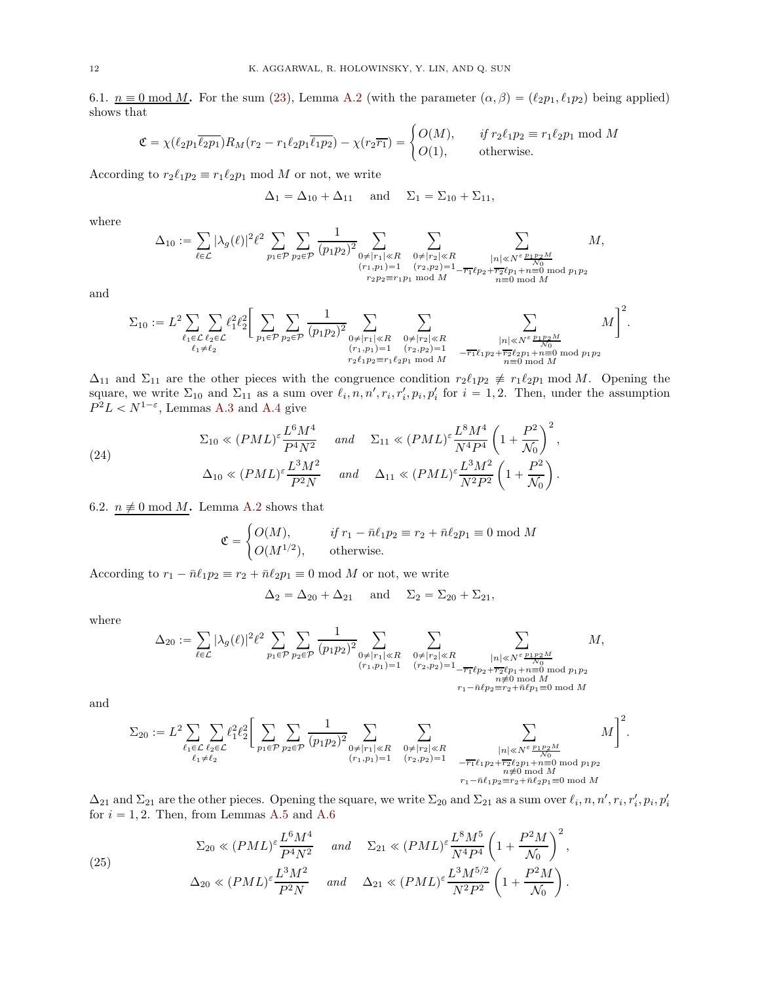6.1.  $n \equiv 0 \mod M$ . For the sum [\(23\)](#page-10-0), Lemma [A.2](#page-12-1) (with the parameter  $(\alpha, \beta) = (\ell_2 p_1, \ell_1 p_2)$  being applied) shows that

$$
\mathfrak{C} = \chi(\ell_2 p_1 \overline{\ell_2 p_1}) R_M(r_2 - r_1 \ell_2 p_1 \overline{\ell_1 p_2}) - \chi(r_2 \overline{r_1}) = \begin{cases} O(M), & \text{if } r_2 \ell_1 p_2 \equiv r_1 \ell_2 p_1 \bmod M \\ O(1), & \text{otherwise.} \end{cases}
$$

According to  $r_2 \ell_1 p_2 \equiv r_1 \ell_2 p_1 \mod M$  or not, we write

$$
\Delta_1 = \Delta_{10} + \Delta_{11} \quad \text{and} \quad \Sigma_1 = \Sigma_{10} + \Sigma_{11},
$$

where

$$
\Delta_{10} := \sum_{\ell \in \mathcal{L}} |\lambda_g(\ell)|^2 \ell^2 \sum_{p_1 \in \mathcal{P}} \sum_{p_2 \in \mathcal{P}} \frac{1}{(p_1 p_2)^2} \sum_{\substack{0 \neq |r_1| \ll R \\ (r_1, p_1) = 1 \\ r_2 p_2 \equiv r_1 p_1 \bmod{M}}} \sum_{\substack{0 \neq |r_2| \ll R \\ (r_2, p_2) = 1 \\ n \equiv 0 \bmod{M}}} \sum_{\substack{|n| \ll N^{\varepsilon} \frac{p_1 p_2 M}{N_0} \\ n \equiv 0 \bmod{M}}} M,
$$

and

$$
\Sigma_{10} := L^2 \sum_{\ell_1 \in \mathcal{L}} \sum_{\ell_2 \in \mathcal{L}} \ell_1^2 \ell_2^2 \Bigg[ \sum_{p_1 \in \mathcal{P}} \sum_{p_2 \in \mathcal{P}} \frac{1}{(p_1 p_2)^2} \sum_{\substack{0 \neq |r_1| \ll R \\ (r_1, p_1) = 1 \\ r_2 \ell_1 p_2 \equiv r_1 \ell_2 p_1 \bmod{M}}} \sum_{\substack{0 \neq |r_2| \ll R \\ -\overline{r_1} \ell_1 p_2 + \overline{r_2} \ell_2 p_1 + n \equiv 0 \bmod{p_1 p_2} \\ n \equiv 0 \bmod{M}}} M \Bigg]^2.
$$

 $\Delta_{11}$  and  $\Sigma_{11}$  are the other pieces with the congruence condition  $r_2\ell_1p_2 \not\equiv r_1\ell_2p_1 \mod M$ . Opening the square, we write  $\Sigma_{10}$  and  $\Sigma_{11}$  as a sum over  $\ell_i, n, n', r_i, r_i', p_i, p_i'$  for  $i = 1, 2$ . Then, under the assumption  $P^2L < N^{1-\varepsilon}$ , Lemmas [A.3](#page-14-0) and [A.4](#page-14-1) give

<span id="page-11-0"></span>(24)  
\n
$$
\Sigma_{10} \ll (PML)^{\varepsilon} \frac{L^6 M^4}{P^4 N^2} \quad \text{and} \quad \Sigma_{11} \ll (PML)^{\varepsilon} \frac{L^8 M^4}{N^4 P^4} \left(1 + \frac{P^2}{\mathcal{N}_0}\right)^2,
$$
\n
$$
\Delta_{10} \ll (PML)^{\varepsilon} \frac{L^3 M^2}{P^2 N} \quad \text{and} \quad \Delta_{11} \ll (PML)^{\varepsilon} \frac{L^3 M^2}{N^2 P^2} \left(1 + \frac{P^2}{\mathcal{N}_0}\right).
$$

6.2.  $n \neq 0 \mod M$ . Lemma [A.2](#page-12-1) shows that

$$
\mathfrak{C} = \begin{cases} O(M), & \text{if } r_1 - \bar{n}\ell_1 p_2 \equiv r_2 + \bar{n}\ell_2 p_1 \equiv 0 \bmod M \\ O(M^{1/2}), & \text{otherwise.} \end{cases}
$$

According to  $r_1 - \bar{n}\ell_1 p_2 \equiv r_2 + \bar{n}\ell_2 p_1 \equiv 0 \mod M$  or not, we write

$$
\Delta_2 = \Delta_{20} + \Delta_{21} \quad \text{and} \quad \Sigma_2 = \Sigma_{20} + \Sigma_{21},
$$

where

$$
\Delta_{20}:=\sum_{\ell\in\mathcal{L}}|\lambda_g(\ell)|^2\ell^2\sum_{p_1\in\mathcal{P}}\sum_{p_2\in\mathcal{P}}\frac{1}{(p_1p_2)^2}\sum_{\substack{0\neq|r_1|\ll R\\(r_1,p_1)=1}}\sum_{\substack{0\neq|r_2|\ll R\\(r_2,p_2)=1}}\sum_{\substack{|\boldsymbol n|\ll N^{\varepsilon}\frac{p_1p_2M}{N_0^2\\ n\neq 0 \bmod M\\ n\neq 0 \bmod M}}M,
$$

and

$$
\Sigma_{20} := L^2 \sum_{\ell_1 \in \mathcal{L}} \sum_{\ell_2 \in \mathcal{L}} \ell_1^2 \ell_2^2 \Bigg[ \sum_{p_1 \in \mathcal{P}} \sum_{p_2 \in \mathcal{P}} \frac{1}{(p_1 p_2)^2} \sum_{\substack{0 \neq |r_1| \ll R \\ (r_1, p_1) = 1}} \sum_{\substack{0 \neq |r_2| \ll R \\ (r_2, p_2) = 1}} \sum_{\substack{0 \neq |r_2| \ll R \\ -\overline{r_1} \ell_1 p_2 + \overline{r_2} \ell_2 p_1 + n \equiv 0 \bmod p_1 p_2 \\ n \not\equiv 0 \bmod M \\ n_1 \equiv 0 \bmod p_2}} M \Bigg]^2.
$$

 $\Delta_{21}$  and  $\Sigma_{21}$  are the other pieces. Opening the square, we write  $\Sigma_{20}$  and  $\Sigma_{21}$  as a sum over  $\ell_i$ ,  $n, n', r_i, r'_i, p_i, p'_i$ for  $i = 1, 2$ . Then, from Lemmas [A.5](#page-14-2) and [A.6](#page-15-17)

<span id="page-11-1"></span>(25) 
$$
\Sigma_{20} \ll (PML)^{\varepsilon} \frac{L^6 M^4}{P^4 N^2} \quad \text{and} \quad \Sigma_{21} \ll (PML)^{\varepsilon} \frac{L^8 M^5}{N^4 P^4} \left(1 + \frac{P^2 M}{\mathcal{N}_0}\right)^2,
$$

$$
\Delta_{20} \ll (PML)^{\varepsilon} \frac{L^3 M^2}{P^2 N} \quad \text{and} \quad \Delta_{21} \ll (PML)^{\varepsilon} \frac{L^3 M^{5/2}}{N^2 P^2} \left(1 + \frac{P^2 M}{\mathcal{N}_0}\right).
$$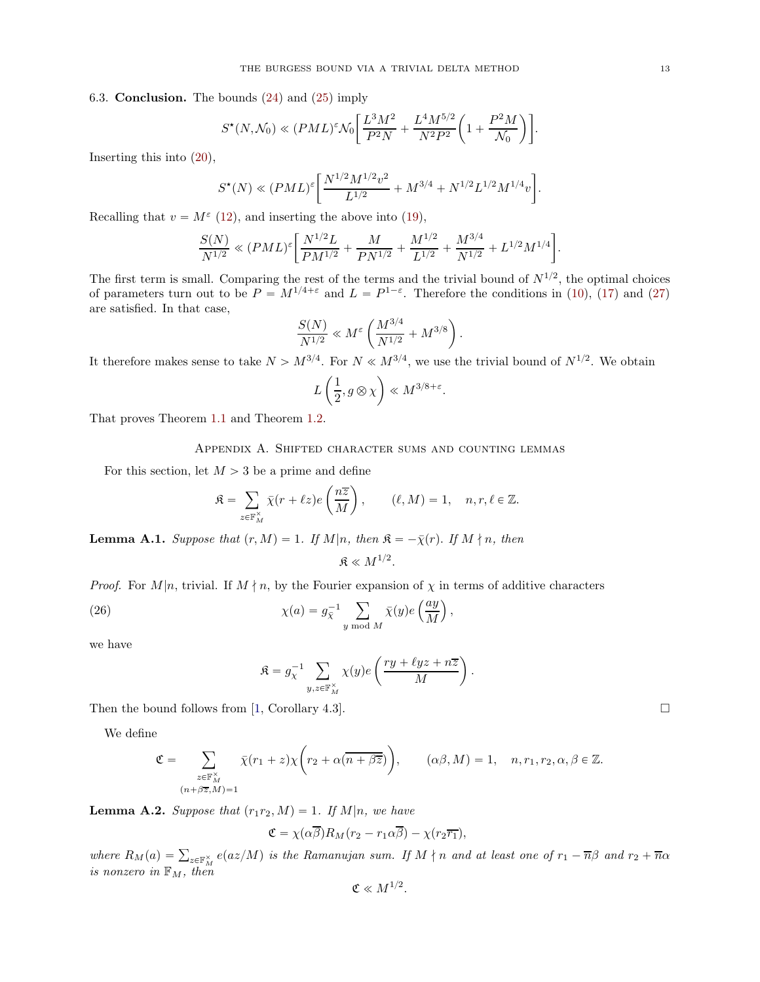## 6.3. Conclusion. The bounds [\(24\)](#page-11-0) and [\(25\)](#page-11-1) imply

$$
S^*(N, \mathcal{N}_0) \ll (PML)^{\varepsilon} \mathcal{N}_0 \bigg[ \frac{L^3 M^2}{P^2 N} + \frac{L^4 M^{5/2}}{N^2 P^2} \bigg( 1 + \frac{P^2 M}{\mathcal{N}_0} \bigg) \bigg].
$$

Inserting this into [\(20\)](#page-9-1),

$$
S^{\star}(N) \ll (PML)^{\varepsilon} \bigg[ \frac{N^{1/2} M^{1/2} v^2}{L^{1/2}} + M^{3/4} + N^{1/2} L^{1/2} M^{1/4} v \bigg].
$$

Recalling that  $v = M^{\varepsilon}$  [\(12\)](#page-6-2), and inserting the above into [\(19\)](#page-8-1),

$$
\frac{S(N)}{N^{1/2}} \ll (PML)^{\varepsilon} \bigg[ \frac{N^{1/2}L}{PM^{1/2}} + \frac{M}{PN^{1/2}} + \frac{M^{1/2}}{L^{1/2}} + \frac{M^{3/4}}{N^{1/2}} + L^{1/2} M^{1/4} \bigg]
$$

The first term is small. Comparing the rest of the terms and the trivial bound of  $N^{1/2}$ , the optimal choices of parameters turn out to be  $P = M^{1/4+\epsilon}$  and  $L = P^{1-\epsilon}$ . Therefore the conditions in [\(10\)](#page-6-3), [\(17\)](#page-7-3) and [\(27\)](#page-14-3) are satisfied. In that case,

$$
\frac{S(N)}{N^{1/2}} \ll M^{\varepsilon} \left( \frac{M^{3/4}}{N^{1/2}} + M^{3/8} \right).
$$

It therefore makes sense to take  $N > M^{3/4}$ . For  $N \ll M^{3/4}$ , we use the trivial bound of  $N^{1/2}$ . We obtain

$$
L\left(\frac{1}{2}, g\otimes\chi\right)\ll M^{3/8+\varepsilon}.
$$

That proves Theorem [1.1](#page-1-0) and Theorem [1.2.](#page-1-1)

# Appendix A. Shifted character sums and counting lemmas

For this section, let  $M > 3$  be a prime and define

$$
\mathfrak{K} = \sum_{z \in \mathbb{F}_M^{\times}} \bar{\chi}(r + \ell z) e\left(\frac{n\overline{z}}{M}\right), \qquad (\ell, M) = 1, \quad n, r, \ell \in \mathbb{Z}.
$$

<span id="page-12-0"></span>**Lemma A.1.** Suppose that  $(r, M) = 1$ . If  $M|n$ , then  $\mathfrak{K} = -\overline{\chi}(r)$ . If  $M \nmid n$ , then  $\mathfrak{K} \ll M^{1/2}.$ 

*Proof.* For 
$$
M|n
$$
, trivial. If  $M \nmid n$ , by the Fourier expansion of  $\chi$  in terms of additive characters

(26) 
$$
\chi(a) = g_{\bar{\chi}}^{-1} \sum_{y \bmod M} \bar{\chi}(y) e\left(\frac{ay}{M}\right),
$$

we have

<span id="page-12-2"></span>
$$
\mathfrak{K} = g_{\chi}^{-1} \sum_{y,z \in \mathbb{F}_M^{\times}} \chi(y) e\left(\frac{ry + \ell yz + n\overline{z}}{M}\right).
$$

Then the bound follows from [\[1,](#page-15-11) Corollary 4.3].  $\Box$ 

We define

$$
\mathfrak{C} = \sum_{\substack{z \in \mathbb{F}_M^\times \\ (n + \beta \overline{z}, M) = 1}} \overline{\chi}(r_1 + z) \chi \bigg( r_2 + \alpha (\overline{n + \beta \overline{z}}) \bigg), \qquad (\alpha \beta, M) = 1, \quad n, r_1, r_2, \alpha, \beta \in \mathbb{Z}.
$$

<span id="page-12-1"></span>**Lemma A.2.** Suppose that  $(r_1r_2, M) = 1$ . If M|n, we have

$$
\mathfrak{C} = \chi(\alpha \overline{\beta}) R_M(r_2 - r_1 \alpha \overline{\beta}) - \chi(r_2 \overline{r_1}),
$$

where  $R_M(a) = \sum_{z \in \mathbb{F}_M^{\times}} e(az/M)$  is the Ramanujan sum. If  $M \nmid n$  and at least one of  $r_1 - \overline{n}\beta$  and  $r_2 + \overline{n}\alpha$ is nonzero in  $\mathbb{F}_M$ , then

$$
\mathfrak{C}\ll M^{1/2}.
$$

.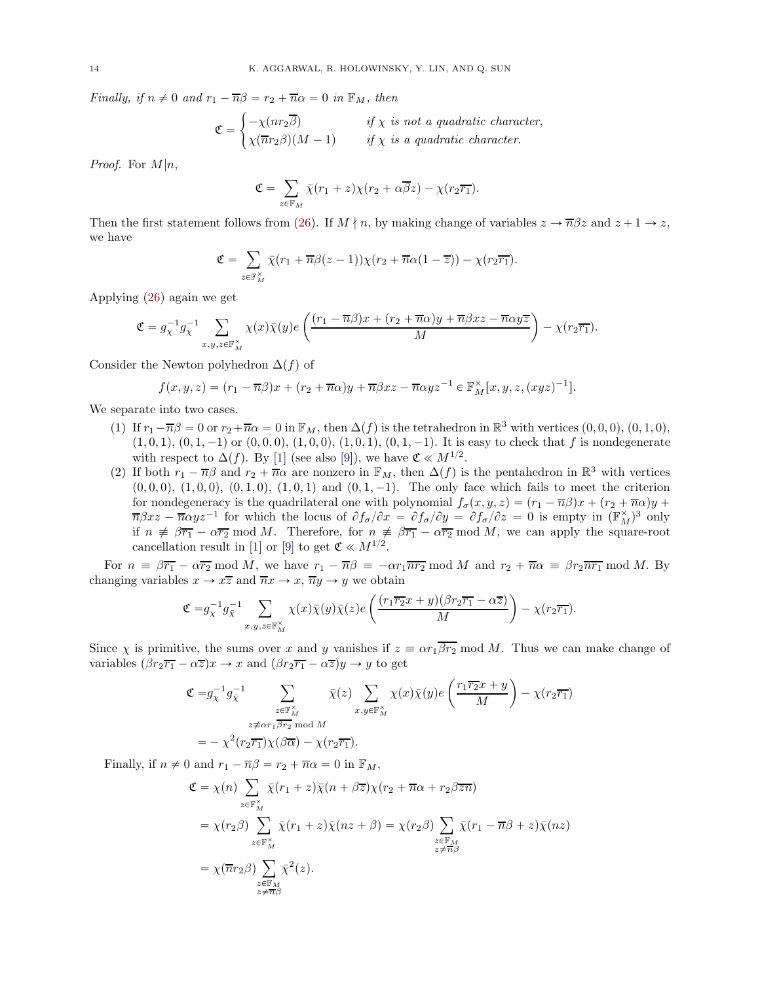Finally, if  $n \neq 0$  and  $r_1 - \overline{n}\beta = r_2 + \overline{n}\alpha = 0$  in  $\mathbb{F}_M$ , then

$$
\mathfrak{C} = \begin{cases}\n-\chi(nr_2\overline{\beta}) & \text{if } \chi \text{ is not a quadratic character,} \\
\chi(\overline{n}r_2\beta)(M-1) & \text{if } \chi \text{ is a quadratic character.}\n\end{cases}
$$

*Proof.* For  $M|n$ ,

$$
\mathfrak{C} = \sum_{z \in \mathbb{F}_M} \bar{\chi}(r_1 + z) \chi(r_2 + \alpha \overline{\beta} z) - \chi(r_2 \overline{r_1}).
$$

Then the first statement follows from [\(26\)](#page-12-2). If  $M \nmid n$ , by making change of variables  $z \to \overline{n} \beta z$  and  $z + 1 \to z$ , we have

$$
\mathfrak{C} = \sum_{z \in \mathbb{F}_M^{\times}} \bar{\chi}(r_1 + \overline{n}\beta(z-1))\chi(r_2 + \overline{n}\alpha(1-\overline{z})) - \chi(r_2\overline{r_1}).
$$

Applying [\(26\)](#page-12-2) again we get

$$
\mathfrak{C} = g_{\chi}^{-1} g_{\bar{\chi}}^{-1} \sum_{x,y,z \in \mathbb{F}_M^\times} \chi(x) \bar{\chi}(y) e\left(\frac{(r_1 - \overline{n}\beta)x + (r_2 + \overline{n}\alpha)y + \overline{n}\beta xz - \overline{n}\alpha y\overline{z}}{M}\right) - \chi(r_2\overline{r_1}).
$$

Consider the Newton polyhedron  $\Delta(f)$  of

$$
f(x,y,z)=(r_1-\overline{n}\beta)x+(r_2+\overline{n}\alpha)y+\overline{n}\beta xz-\overline{n}\alpha yz^{-1}\in \mathbb{F}_M^{\times}[x,y,z,(xyz)^{-1}].
$$

We separate into two cases.

- (1) If  $r_1 \overline{n}\beta = 0$  or  $r_2 + \overline{n}\alpha = 0$  in  $\mathbb{F}_M$ , then  $\Delta(f)$  is the tetrahedron in  $\mathbb{R}^3$  with vertices  $(0, 0, 0)$ ,  $(0, 1, 0)$ ,  $(1, 0, 1), (0, 1, -1)$  or  $(0, 0, 0), (1, 0, 0), (1, 0, 1), (0, 1, -1)$ . It is easy to check that f is nondegenerate with respect to  $\Delta(f)$ . By [\[1\]](#page-15-11) (see also [\[9\]](#page-15-18)), we have  $\mathfrak{C} \ll M^{1/2}$ .
- (2) If both  $r_1 \overline{n}\beta$  and  $r_2 + \overline{n}\alpha$  are nonzero in  $\mathbb{F}_M$ , then  $\Delta(f)$  is the pentahedron in  $\mathbb{R}^3$  with vertices  $(0, 0, 0), (1, 0, 0), (0, 1, 0), (1, 0, 1)$  and  $(0, 1, -1)$ . The only face which fails to meet the criterion for nondegeneracy is the quadrilateral one with polynomial  $f_{\sigma}(x, y, z) = (r_1 - \overline{n}\beta)x + (r_2 + \overline{n}\alpha)y +$  $\overline{n}\beta x z - \overline{n} \alpha y z^{-1}$  for which the locus of  $\partial f_{\sigma}/\partial x = \partial f_{\sigma}/\partial y = \partial f_{\sigma}/\partial z = 0$  is empty in  $(\mathbb{F}_{M}^{\times})^3$  only if  $n \neq \beta \overline{r_1} - \alpha \overline{r_2}$  mod M. Therefore, for  $n \neq \beta \overline{r_1} - \alpha \overline{r_2}$  mod M, we can apply the square-root cancellation result in [\[1\]](#page-15-11) or [\[9\]](#page-15-18) to get  $\mathfrak{C} \ll M^{1/2}$ .

For  $n \equiv \beta \overline{r_1} - \alpha \overline{r_2} \mod M$ , we have  $r_1 - \overline{n}\beta \equiv -\alpha r_1 \overline{n} r_2 \mod M$  and  $r_2 + \overline{n}\alpha \equiv \beta r_2 \overline{n} r_1 \mod M$ . By changing variables  $x \to x\overline{z}$  and  $\overline{n}x \to x$ ,  $\overline{n}y \to y$  we obtain

$$
\mathfrak{C}=g_{\chi}^{-1}g_{\bar{\chi}}^{-1}\sum_{x,y,z\in\mathbb{F}_{M}^{\times}}\chi(x)\bar{\chi}(y)\bar{\chi}(z)e\left(\frac{(r_{1}\overline{r_{2}}x+y)(\beta r_{2}\overline{r_{1}}-\alpha \overline{z})}{M}\right)-\chi(r_{2}\overline{r_{1}}).
$$

Since  $\chi$  is primitive, the sums over x and y vanishes if  $z \equiv \alpha r_1 \overline{\beta r_2}$  mod M. Thus we can make change of variables  $(\beta r_2 \overline{r_1} - \alpha \overline{z}) x \rightarrow x$  and  $(\beta r_2 \overline{r_1} - \alpha \overline{z}) y \rightarrow y$  to get

$$
\begin{aligned} \mathfrak{C} =& g_{\chi}^{-1} g_{\bar\chi}^{-1} \sum_{\substack{z \in \mathbb{F}_M^\times \\ z \neq \alpha r_1 \overline{\beta} r_2 \bmod{M} \\ z - \chi^2 \big( r_2 \overline{r_1} \big) \chi \big( \beta \overline{\alpha} \big) - \chi \big( r_2 \overline{r_1} \big).} \overline{\chi}(z) \sum_{x, y \in \mathbb{F}_M^\times} \chi(x) \overline{\chi}(y) e\left( \frac{r_1 \overline{r_2} x + y}{M} \right) - \chi \big( r_2 \overline{r_1} \big) \\ =& - \chi^2 \big( r_2 \overline{r_1} \big) \chi \big( \beta \overline{\alpha} \big) - \chi \big( r_2 \overline{r_1} \big). \end{aligned}
$$

Finally, if  $n \neq 0$  and  $r_1 - \overline{n}\beta = r_2 + \overline{n}\alpha = 0$  in  $\mathbb{F}_M$ ,

$$
\mathfrak{C} = \chi(n) \sum_{z \in \mathbb{F}_M^{\times}} \bar{\chi}(r_1 + z) \bar{\chi}(n + \beta \bar{z}) \chi(r_2 + \overline{n}\alpha + r_2 \beta \overline{z}\overline{n})
$$
  
\n
$$
= \chi(r_2 \beta) \sum_{z \in \mathbb{F}_M^{\times}} \bar{\chi}(r_1 + z) \bar{\chi}(n z + \beta) = \chi(r_2 \beta) \sum_{\substack{z \in \mathbb{F}_M \\ z \neq \overline{n}\beta}} \bar{\chi}(r_1 - \overline{n}\beta + z) \bar{\chi}(n z)
$$
  
\n
$$
= \chi(\overline{n}r_2 \beta) \sum_{\substack{z \in \mathbb{F}_M \\ z \neq \overline{n}\beta}} \bar{\chi}^2(z).
$$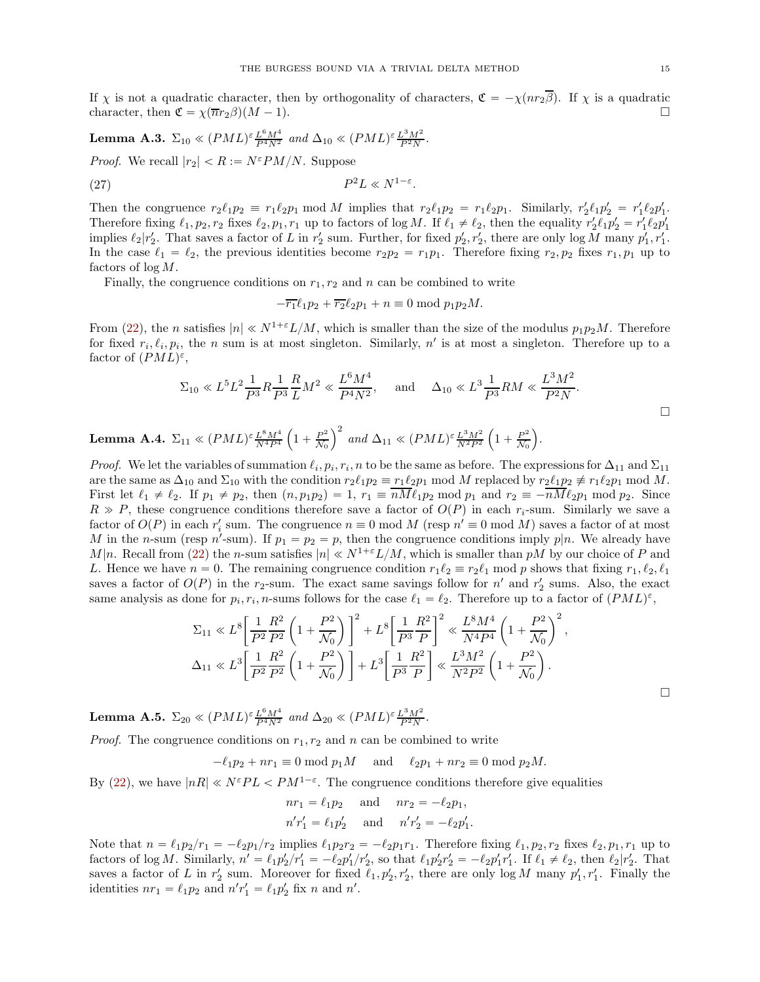If  $\chi$  is not a quadratic character, then by orthogonality of characters,  $\mathfrak{C} = -\chi(nr_2\overline{\beta})$ . If  $\chi$  is a quadratic character then  $\mathfrak{C} = \chi(\overline{n}r_2\beta)(M-1)$ character, then  $\mathfrak{C} = \chi(\overline{n}r_2\beta)(M - 1)$ .

<span id="page-14-0"></span>**Lemma A.3.** 
$$
\Sigma_{10} \ll (PML)^{\varepsilon} \frac{L^6 M^4}{P^4 N^2}
$$
 and  $\Delta_{10} \ll (PML)^{\varepsilon} \frac{L^3 M^2}{P^2 N}$ .

*Proof.* We recall  $|r_2| < R := N \epsilon P M/N$ . Suppose

<span id="page-14-3"></span>
$$
(27) \t\t P^2L \ll N^{1-\varepsilon}.
$$

Then the congruence  $r_2 \ell_1 p_2 \equiv r_1 \ell_2 p_1 \mod M$  implies that  $r_2 \ell_1 p_2 = r_1 \ell_2 p_1$ . Similarly,  $r'_2 \ell_1 p'_2 = r'_1 \ell_2 p'_1$ . Therefore fixing  $\ell_1, p_2, r_2$  fixes  $\ell_2, p_1, r_1$  up to factors of log M. If  $\ell_1 \neq \ell_2$ , then the equality  $r'_2 \ell_1 p'_2 = r'_1 \ell_2 p'_1$ implies  $\ell_2 | r'_2$ . That saves a factor of L in  $r'_2$  sum. Further, for fixed  $p'_2, r'_2$ , there are only  $\log M$  many  $p'_1, r'_1$ . In the case  $\ell_1 = \ell_2$ , the previous identities become  $r_2p_2 = r_1p_1$ . Therefore fixing  $r_2, p_2$  fixes  $r_1, p_1$  up to factors of log M.

Finally, the congruence conditions on  $r_1, r_2$  and n can be combined to write

$$
-\overline{r_1}\ell_1p_2 + \overline{r_2}\ell_2p_1 + n \equiv 0 \bmod p_1p_2M.
$$

From [\(22\)](#page-10-1), the n satisfies  $|n| \ll N^{1+\epsilon}L/M$ , which is smaller than the size of the modulus  $p_1p_2M$ . Therefore for fixed  $r_i, \ell_i, p_i$ , the n sum is at most singleton. Similarly, n' is at most a singleton. Therefore up to a factor of  $(PML)^{\varepsilon}$ ,

$$
\Sigma_{10} \ll L^5 L^2 \frac{1}{P^3} R \frac{1}{P^3} \frac{R}{L} M^2 \ll \frac{L^6 M^4}{P^4 N^2}
$$
, and  $\Delta_{10} \ll L^3 \frac{1}{P^3} RM \ll \frac{L^3 M^2}{P^2 N}$ .

<span id="page-14-1"></span>Lemma A.4.  $\Sigma_{11} \ll (PML)^{\varepsilon} \frac{L^8 M^4}{N^4 P^4}$  $\left(1 + \frac{P^2}{\mathcal{N}_0}\right)$  $\frac{P^2}{N_0}\right)^2$  and  $\Delta_{11} \ll (PML)^{\varepsilon} \frac{L^3 M^2}{N^2 P^2}$  $\left(1 + \frac{P^2}{\mathcal{N}_0}\right)$  $\frac{P^2}{\mathcal{N}_0}$ .

*Proof.* We let the variables of summation  $\ell_i, p_i, r_i, n$  to be the same as before. The expressions for  $\Delta_{11}$  and  $\Sigma_{11}$ are the same as  $\Delta_{10}$  and  $\Sigma_{10}$  with the condition  $r_2\ell_1p_2 \equiv r_1\ell_2p_1 \mod M$  replaced by  $r_2\ell_1p_2 \not\equiv r_1\ell_2p_1 \mod M$ . First let  $\ell_1 \neq \ell_2$ . If  $p_1 \neq p_2$ , then  $(n, p_1p_2) = 1$ ,  $r_1 \equiv \overline{nM} \ell_1 p_2 \mod p_1$  and  $r_2 \equiv -\overline{nM} \ell_2 p_1 \mod p_2$ . Since  $R \gg P$ , these congruence conditions therefore save a factor of  $O(P)$  in each r<sub>i</sub>-sum. Similarly we save a factor of  $O(P)$  in each r<sub>i</sub> sum. The congruence  $n \equiv 0 \mod M$  (resp  $n' \equiv 0 \mod M$ ) saves a factor of at most M in the n-sum (resp n'-sum). If  $p_1 = p_2 = p$ , then the congruence conditions imply  $p|n$ . We already have M|n. Recall from [\(22\)](#page-10-1) the n-sum satisfies  $|n| \ll N^{1+\epsilon}L/M$ , which is smaller than pM by our choice of P and L. Hence we have  $n = 0$ . The remaining congruence condition  $r_1 \ell_2 \equiv r_2 \ell_1$  mod p shows that fixing  $r_1, \ell_2, \ell_1$ saves a factor of  $O(P)$  in the r<sub>2</sub>-sum. The exact same savings follow for n' and r<sub>2</sub> sums. Also, the exact same analysis as done for  $p_i, r_i, n$ -sums follows for the case  $\ell_1 = \ell_2$ . Therefore up to a factor of  $(PML)^{\varepsilon}$ ,

$$
\Sigma_{11} \ll L^8 \left[ \frac{1}{P^2} \frac{R^2}{P^2} \left( 1 + \frac{P^2}{\mathcal{N}_0} \right) \right]^2 + L^8 \left[ \frac{1}{P^3} \frac{R^2}{P} \right]^2 \ll \frac{L^8 M^4}{N^4 P^4} \left( 1 + \frac{P^2}{\mathcal{N}_0} \right)^2,
$$
  

$$
\Delta_{11} \ll L^3 \left[ \frac{1}{P^2} \frac{R^2}{P^2} \left( 1 + \frac{P^2}{\mathcal{N}_0} \right) \right] + L^3 \left[ \frac{1}{P^3} \frac{R^2}{P} \right] \ll \frac{L^3 M^2}{N^2 P^2} \left( 1 + \frac{P^2}{\mathcal{N}_0} \right).
$$

<span id="page-14-2"></span>**Lemma A.5.**  $\Sigma_{20} \ll (PML)^{\epsilon} \frac{L^6 M^4}{P^4 N^2}$  and  $\Delta_{20} \ll (PML)^{\epsilon} \frac{L^3 M^2}{P^2 N}$ .

*Proof.* The congruence conditions on  $r_1, r_2$  and n can be combined to write

$$
-\ell_1 p_2 + n r_1 \equiv 0 \mod p_1 M \quad \text{and} \quad \ell_2 p_1 + n r_2 \equiv 0 \mod p_2 M.
$$

By [\(22\)](#page-10-1), we have  $|nR| \ll N^{\varepsilon}PL < PM^{1-\varepsilon}$ . The congruence conditions therefore give equalities

$$
nr_1 = \ell_1 p_2
$$
 and  $nr_2 = -\ell_2 p_1$ ,  
\n $n'r'_1 = \ell_1 p'_2$  and  $n'r'_2 = -\ell_2 p'_1$ .

Note that  $n = \ell_1 p_2/r_1 = -\ell_2 p_1/r_2$  implies  $\ell_1 p_2r_2 = -\ell_2 p_1r_1$ . Therefore fixing  $\ell_1, p_2, r_2$  fixes  $\ell_2, p_1, r_1$  up to factors of log M. Similarly,  $n' = \ell_1 p_2'/r_1' = -\ell_2 p_1'/r_2'$ , so that  $\ell_1 p_2' r_2' = -\ell_2 p_1' r_1'$ . If  $\ell_1 \neq \ell_2$ , then  $\ell_2 | r_2'$ . That saves a factor of L in  $r'_2$  sum. Moreover for fixed  $\ell_1, p'_2, r'_2$ , there are only  $\log M$  many  $p'_1, r'_1$ . Finally the identities  $nr_1 = \ell_1 p_2$  and  $n'r'_1 = \ell_1 p'_2$  fix n and n'.

 $\Box$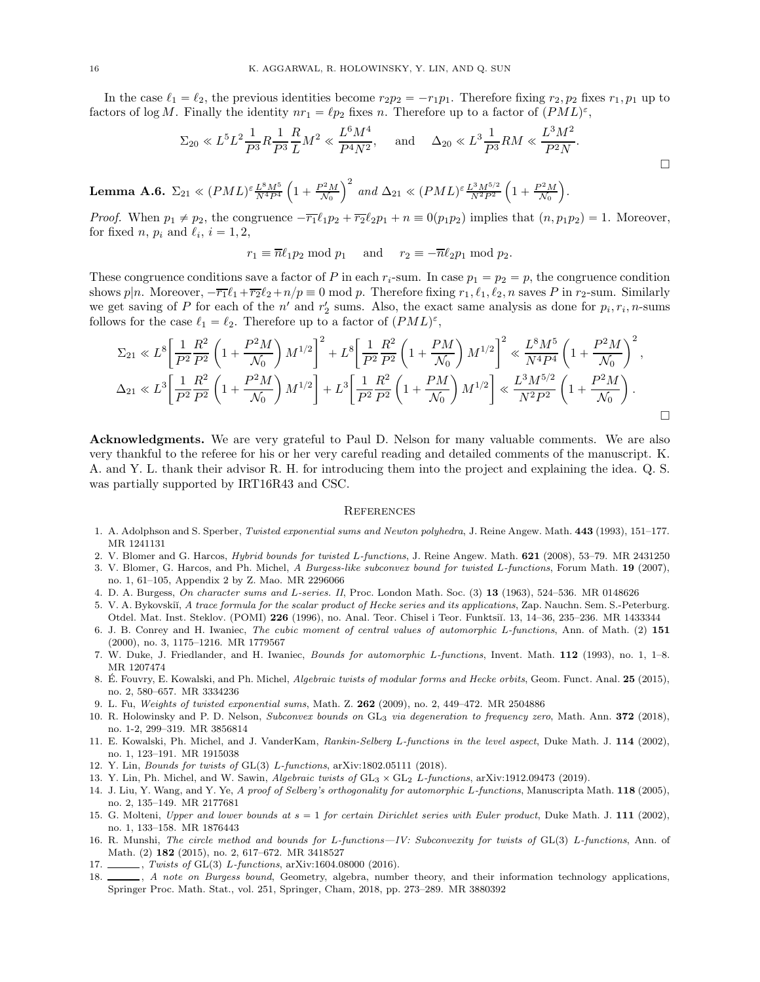In the case  $\ell_1 = \ell_2$ , the previous identities become  $r_2p_2 = -r_1p_1$ . Therefore fixing  $r_2, p_2$  fixes  $r_1, p_1$  up to factors of log M. Finally the identity  $nr_1 = \ell p_2$  fixes n. Therefore up to a factor of  $(PML)^{\varepsilon}$ ,

$$
\Sigma_{20} \ll L^5 L^2 \frac{1}{P^3} R \frac{1}{P^3} \frac{R}{L} M^2 \ll \frac{L^6 M^4}{P^4 N^2}
$$
, and  $\Delta_{20} \ll L^3 \frac{1}{P^3} RM \ll \frac{L^3 M^2}{P^2 N}$ .

<span id="page-15-17"></span>Lemma A.6.  $\Sigma_{21} \ll (PML)^{\varepsilon} \frac{L^8 M^5}{N^4 P^4}$  $\left(1+\frac{P^2M}{\mathcal{N}_0}\right)^2$  and  $\Delta_{21} \ll (PML)^{\varepsilon} \frac{L^3 M^{5/2}}{N^2 P^2}$  $\left(1+\frac{P^2M}{\mathcal{N}_0}\right).$ 

*Proof.* When  $p_1 \neq p_2$ , the congruence  $-\overline{r_1}\ell_1p_2 + \overline{r_2}\ell_2p_1 + n \equiv 0(p_1p_2)$  implies that  $(n, p_1p_2) = 1$ . Moreover, for fixed *n*,  $p_i$  and  $\ell_i$ ,  $i = 1, 2$ ,

 $r_1 \equiv \overline{n}\ell_1p_2 \mod p_1$  and  $r_2 \equiv -\overline{n}\ell_2p_1 \mod p_2$ .

These congruence conditions save a factor of P in each  $r_i$ -sum. In case  $p_1 = p_2 = p$ , the congruence condition shows p|n. Moreover,  $-\overline{r_1}\ell_1+\overline{r_2}\ell_2+n/p\equiv 0 \mod p$ . Therefore fixing  $r_1, \ell_1, \ell_2, n$  saves P in  $r_2$ -sum. Similarly we get saving of P for each of the  $n'$  and  $r'_2$  sums. Also, the exact same analysis as done for  $p_i, r_i, n$ -sums follows for the case  $\ell_1 = \ell_2$ . Therefore up to a factor of  $(PML)^{\varepsilon}$ ,

$$
\Sigma_{21} \ll L^8 \left[ \frac{1}{P^2} \frac{R^2}{P^2} \left( 1 + \frac{P^2 M}{\mathcal{N}_0} \right) M^{1/2} \right]^2 + L^8 \left[ \frac{1}{P^2} \frac{R^2}{P^2} \left( 1 + \frac{PM}{\mathcal{N}_0} \right) M^{1/2} \right]^2 \ll \frac{L^8 M^5}{N^4 P^4} \left( 1 + \frac{P^2 M}{\mathcal{N}_0} \right)^2,
$$
  

$$
\Delta_{21} \ll L^3 \left[ \frac{1}{P^2} \frac{R^2}{P^2} \left( 1 + \frac{P^2 M}{\mathcal{N}_0} \right) M^{1/2} \right] + L^3 \left[ \frac{1}{P^2} \frac{R^2}{P^2} \left( 1 + \frac{PM}{\mathcal{N}_0} \right) M^{1/2} \right] \ll \frac{L^3 M^{5/2}}{N^2 P^2} \left( 1 + \frac{P^2 M}{\mathcal{N}_0} \right).
$$

Acknowledgments. We are very grateful to Paul D. Nelson for many valuable comments. We are also very thankful to the referee for his or her very careful reading and detailed comments of the manuscript. K. A. and Y. L. thank their advisor R. H. for introducing them into the project and explaining the idea. Q. S. was partially supported by IRT16R43 and CSC.

### **REFERENCES**

- <span id="page-15-11"></span><span id="page-15-4"></span>1. A. Adolphson and S. Sperber, *Twisted exponential sums and Newton polyhedra*, J. Reine Angew. Math. 443 (1993), 151–177. MR 1241131
- <span id="page-15-3"></span>2. V. Blomer and G. Harcos, *Hybrid bounds for twisted* L*-functions*, J. Reine Angew. Math. 621 (2008), 53–79. MR 2431250
- 3. V. Blomer, G. Harcos, and Ph. Michel, *A Burgess-like subconvex bound for twisted* L*-functions*, Forum Math. 19 (2007), no. 1, 61–105, Appendix 2 by Z. Mao. MR 2296066
- <span id="page-15-2"></span><span id="page-15-0"></span>4. D. A. Burgess, *On character sums and* L*-series. II*, Proc. London Math. Soc. (3) 13 (1963), 524–536. MR 0148626
- 5. V. A. Bykovskiĭ, A trace formula for the scalar product of Hecke series and its applications, Zap. Nauchn. Sem. S.-Peterburg. Otdel. Mat. Inst. Steklov. (POMI) 226 (1996), no. Anal. Teor. Chisel i Teor. Funktsiĭ. 13, 14–36, 235–236. MR 1433344
- <span id="page-15-12"></span>6. J. B. Conrey and H. Iwaniec, *The cubic moment of central values of automorphic* L*-functions*, Ann. of Math. (2) 151 (2000), no. 3, 1175–1216. MR 1779567
- <span id="page-15-5"></span><span id="page-15-1"></span>7. W. Duke, J. Friedlander, and H. Iwaniec, *Bounds for automorphic* L*-functions*, Invent. Math. 112 (1993), no. 1, 1–8. MR 1207474
- 8. E. Fouvry, E. Kowalski, and Ph. Michel, *Algebraic twists of modular forms and Hecke orbits*, Geom. Funct. Anal. **25** (2015), no. 2, 580–657. MR 3334236
- <span id="page-15-18"></span><span id="page-15-9"></span>9. L. Fu, *Weights of twisted exponential sums*, Math. Z. 262 (2009), no. 2, 449–472. MR 2504886
- 10. R. Holowinsky and P. D. Nelson, *Subconvex bounds on* GL<sup>3</sup> *via degeneration to frequency zero*, Math. Ann. 372 (2018), no. 1-2, 299–319. MR 3856814
- <span id="page-15-13"></span>11. E. Kowalski, Ph. Michel, and J. VanderKam, *Rankin-Selberg* L*-functions in the level aspect*, Duke Math. J. 114 (2002), no. 1, 123–191. MR 1915038
- <span id="page-15-16"></span><span id="page-15-10"></span>12. Y. Lin, *Bounds for twists of* GL(3) *L-functions*, arXiv:1802.05111 (2018).
- <span id="page-15-15"></span>13. Y. Lin, Ph. Michel, and W. Sawin, *Algebraic twists of* GL3 ˆ GL2 L*-functions*, arXiv:1912.09473 (2019).
- 14. J. Liu, Y. Wang, and Y. Ye, *A proof of Selberg's orthogonality for automorphic* L*-functions*, Manuscripta Math. 118 (2005), no. 2, 135–149. MR 2177681
- <span id="page-15-14"></span>15. G. Molteni, *Upper and lower bounds at*  $s = 1$  *for certain Dirichlet series with Euler product*, Duke Math. J. 111 (2002), no. 1, 133–158. MR 1876443
- <span id="page-15-7"></span>16. R. Munshi, *The circle method and bounds for L-functions—IV: Subconvexity for twists of* GL(3) L-functions, Ann. of Math. (2) 182 (2015), no. 2, 617–672. MR 3418527
- <span id="page-15-8"></span><span id="page-15-6"></span>17. \_\_\_\_\_\_, *Twists of* GL(3) *L*-functions, arXiv:1604.08000 (2016).
- 18. , *A note on Burgess bound*, Geometry, algebra, number theory, and their information technology applications, Springer Proc. Math. Stat., vol. 251, Springer, Cham, 2018, pp. 273–289. MR 3880392